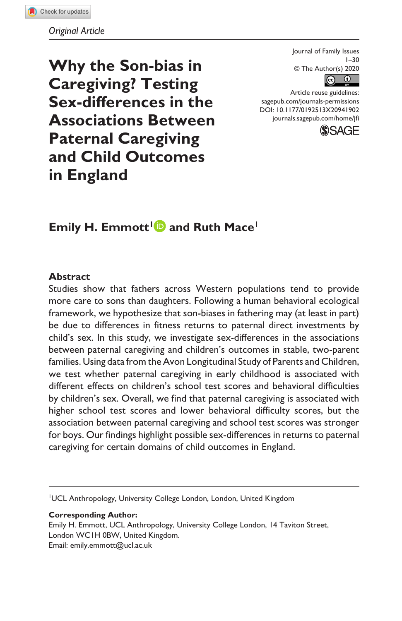*Original Article*

**Why the Son-bias in Caregiving? Testing Sex-differences in the Associations Between Paternal Caregiving and Child Outcomes in England**

Journal of Family Issues  $1 - 30$ © The Author(s) 2020  $\odot$  $\odot$ 

DOI: 10.1177/0192513X20941902 Article reuse guidelines: [sagepub.com/journals-permissions](https://us.sagepub.com/en-us/journals-permissions) [journals.sagepub.com/home/jfi](https://journals.sagepub.com/home/jfi)



# **Emily H. Emmott<sup>1</sup> and Ruth Mace<sup>1</sup>**

#### **Abstract**

Studies show that fathers across Western populations tend to provide more care to sons than daughters. Following a human behavioral ecological framework, we hypothesize that son-biases in fathering may (at least in part) be due to differences in fitness returns to paternal direct investments by child's sex. In this study, we investigate sex-differences in the associations between paternal caregiving and children's outcomes in stable, two-parent families. Using data from the Avon Longitudinal Study of Parents and Children, we test whether paternal caregiving in early childhood is associated with different effects on children's school test scores and behavioral difficulties by children's sex. Overall, we find that paternal caregiving is associated with higher school test scores and lower behavioral difficulty scores, but the association between paternal caregiving and school test scores was stronger for boys. Our findings highlight possible sex-differences in returns to paternal caregiving for certain domains of child outcomes in England.

1 UCL Anthropology, University College London, London, United Kingdom

#### **Corresponding Author:**

Emily H. Emmott, UCL Anthropology, University College London, 14 Taviton Street, London WC1H 0BW, United Kingdom. Email: [emily.emmott@ucl.ac.uk](mailto:emily.emmott@ucl.ac.uk)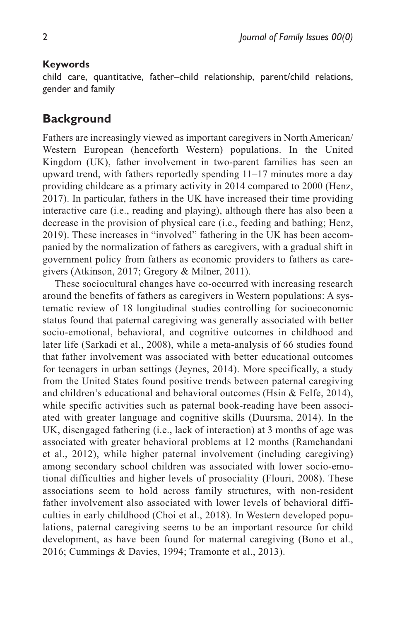#### **Keywords**

child care, quantitative, father–child relationship, parent/child relations, gender and family

## **Background**

Fathers are increasingly viewed as important caregivers in North American/ Western European (henceforth Western) populations. In the United Kingdom (UK), father involvement in two-parent families has seen an upward trend, with fathers reportedly spending 11–17 minutes more a day providing childcare as a primary activity in 2014 compared to 2000 (Henz, 2017). In particular, fathers in the UK have increased their time providing interactive care (i.e., reading and playing), although there has also been a decrease in the provision of physical care (i.e., feeding and bathing; Henz, 2019). These increases in "involved" fathering in the UK has been accompanied by the normalization of fathers as caregivers, with a gradual shift in government policy from fathers as economic providers to fathers as caregivers (Atkinson, 2017; Gregory & Milner, 2011).

These sociocultural changes have co-occurred with increasing research around the benefits of fathers as caregivers in Western populations: A systematic review of 18 longitudinal studies controlling for socioeconomic status found that paternal caregiving was generally associated with better socio-emotional, behavioral, and cognitive outcomes in childhood and later life (Sarkadi et al., 2008), while a meta-analysis of 66 studies found that father involvement was associated with better educational outcomes for teenagers in urban settings (Jeynes, 2014). More specifically, a study from the United States found positive trends between paternal caregiving and children's educational and behavioral outcomes (Hsin  $\&$  Felfe, 2014), while specific activities such as paternal book-reading have been associated with greater language and cognitive skills (Duursma, 2014). In the UK, disengaged fathering (i.e., lack of interaction) at 3 months of age was associated with greater behavioral problems at 12 months (Ramchandani et al., 2012), while higher paternal involvement (including caregiving) among secondary school children was associated with lower socio-emotional difficulties and higher levels of prosociality (Flouri, 2008). These associations seem to hold across family structures, with non-resident father involvement also associated with lower levels of behavioral difficulties in early childhood (Choi et al., 2018). In Western developed populations, paternal caregiving seems to be an important resource for child development, as have been found for maternal caregiving (Bono et al., 2016; Cummings & Davies, 1994; Tramonte et al., 2013).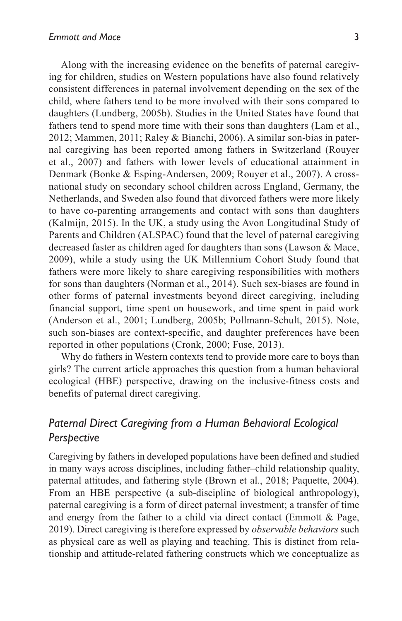Along with the increasing evidence on the benefits of paternal caregiving for children, studies on Western populations have also found relatively consistent differences in paternal involvement depending on the sex of the child, where fathers tend to be more involved with their sons compared to daughters (Lundberg, 2005b). Studies in the United States have found that fathers tend to spend more time with their sons than daughters (Lam et al., 2012; Mammen, 2011; Raley & Bianchi, 2006). A similar son-bias in paternal caregiving has been reported among fathers in Switzerland (Rouyer et al., 2007) and fathers with lower levels of educational attainment in Denmark (Bonke & Esping-Andersen, 2009; Rouyer et al., 2007). A crossnational study on secondary school children across England, Germany, the Netherlands, and Sweden also found that divorced fathers were more likely to have co-parenting arrangements and contact with sons than daughters (Kalmijn, 2015). In the UK, a study using the Avon Longitudinal Study of Parents and Children (ALSPAC) found that the level of paternal caregiving decreased faster as children aged for daughters than sons (Lawson & Mace, 2009), while a study using the UK Millennium Cohort Study found that fathers were more likely to share caregiving responsibilities with mothers for sons than daughters (Norman et al., 2014). Such sex-biases are found in other forms of paternal investments beyond direct caregiving, including financial support, time spent on housework, and time spent in paid work (Anderson et al., 2001; Lundberg, 2005b; Pollmann-Schult, 2015). Note, such son-biases are context-specific, and daughter preferences have been reported in other populations (Cronk, 2000; Fuse, 2013).

Why do fathers in Western contexts tend to provide more care to boys than girls? The current article approaches this question from a human behavioral ecological (HBE) perspective, drawing on the inclusive-fitness costs and benefits of paternal direct caregiving.

# *Paternal Direct Caregiving from a Human Behavioral Ecological Perspective*

Caregiving by fathers in developed populations have been defined and studied in many ways across disciplines, including father–child relationship quality, paternal attitudes, and fathering style (Brown et al., 2018; Paquette, 2004). From an HBE perspective (a sub-discipline of biological anthropology), paternal caregiving is a form of direct paternal investment; a transfer of time and energy from the father to a child via direct contact (Emmott & Page, 2019). Direct caregiving is therefore expressed by *observable behaviors* such as physical care as well as playing and teaching. This is distinct from relationship and attitude-related fathering constructs which we conceptualize as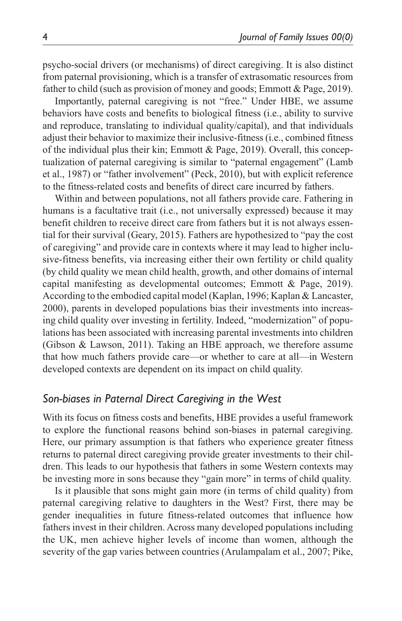psycho-social drivers (or mechanisms) of direct caregiving. It is also distinct from paternal provisioning, which is a transfer of extrasomatic resources from father to child (such as provision of money and goods; Emmott & Page, 2019).

Importantly, paternal caregiving is not "free." Under HBE, we assume behaviors have costs and benefits to biological fitness (i.e., ability to survive and reproduce, translating to individual quality/capital), and that individuals adjust their behavior to maximize their inclusive-fitness (i.e., combined fitness of the individual plus their kin; Emmott & Page, 2019). Overall, this conceptualization of paternal caregiving is similar to "paternal engagement" (Lamb et al., 1987) or "father involvement" (Peck, 2010), but with explicit reference to the fitness-related costs and benefits of direct care incurred by fathers.

Within and between populations, not all fathers provide care. Fathering in humans is a facultative trait (i.e., not universally expressed) because it may benefit children to receive direct care from fathers but it is not always essential for their survival (Geary, 2015). Fathers are hypothesized to "pay the cost of caregiving" and provide care in contexts where it may lead to higher inclusive-fitness benefits, via increasing either their own fertility or child quality (by child quality we mean child health, growth, and other domains of internal capital manifesting as developmental outcomes; Emmott & Page, 2019). According to the embodied capital model (Kaplan, 1996; Kaplan & Lancaster, 2000), parents in developed populations bias their investments into increasing child quality over investing in fertility. Indeed, "modernization" of populations has been associated with increasing parental investments into children (Gibson & Lawson, 2011). Taking an HBE approach, we therefore assume that how much fathers provide care—or whether to care at all—in Western developed contexts are dependent on its impact on child quality.

### *Son-biases in Paternal Direct Caregiving in the West*

With its focus on fitness costs and benefits, HBE provides a useful framework to explore the functional reasons behind son-biases in paternal caregiving. Here, our primary assumption is that fathers who experience greater fitness returns to paternal direct caregiving provide greater investments to their children. This leads to our hypothesis that fathers in some Western contexts may be investing more in sons because they "gain more" in terms of child quality.

Is it plausible that sons might gain more (in terms of child quality) from paternal caregiving relative to daughters in the West? First, there may be gender inequalities in future fitness-related outcomes that influence how fathers invest in their children. Across many developed populations including the UK, men achieve higher levels of income than women, although the severity of the gap varies between countries (Arulampalam et al., 2007; Pike,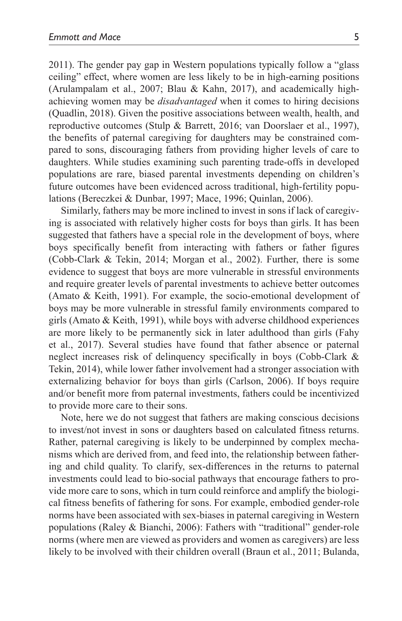2011). The gender pay gap in Western populations typically follow a "glass ceiling" effect, where women are less likely to be in high-earning positions (Arulampalam et al., 2007; Blau & Kahn, 2017), and academically highachieving women may be *disadvantaged* when it comes to hiring decisions (Quadlin, 2018). Given the positive associations between wealth, health, and reproductive outcomes (Stulp & Barrett, 2016; van Doorslaer et al., 1997), the benefits of paternal caregiving for daughters may be constrained compared to sons, discouraging fathers from providing higher levels of care to daughters. While studies examining such parenting trade-offs in developed populations are rare, biased parental investments depending on children's future outcomes have been evidenced across traditional, high-fertility populations (Bereczkei & Dunbar, 1997; Mace, 1996; Quinlan, 2006).

Similarly, fathers may be more inclined to invest in sons if lack of caregiving is associated with relatively higher costs for boys than girls. It has been suggested that fathers have a special role in the development of boys, where boys specifically benefit from interacting with fathers or father figures (Cobb-Clark & Tekin, 2014; Morgan et al., 2002). Further, there is some evidence to suggest that boys are more vulnerable in stressful environments and require greater levels of parental investments to achieve better outcomes (Amato & Keith, 1991). For example, the socio-emotional development of boys may be more vulnerable in stressful family environments compared to girls (Amato & Keith, 1991), while boys with adverse childhood experiences are more likely to be permanently sick in later adulthood than girls (Fahy et al., 2017). Several studies have found that father absence or paternal neglect increases risk of delinquency specifically in boys (Cobb-Clark & Tekin, 2014), while lower father involvement had a stronger association with externalizing behavior for boys than girls (Carlson, 2006). If boys require and/or benefit more from paternal investments, fathers could be incentivized to provide more care to their sons.

Note, here we do not suggest that fathers are making conscious decisions to invest/not invest in sons or daughters based on calculated fitness returns. Rather, paternal caregiving is likely to be underpinned by complex mechanisms which are derived from, and feed into, the relationship between fathering and child quality. To clarify, sex-differences in the returns to paternal investments could lead to bio-social pathways that encourage fathers to provide more care to sons, which in turn could reinforce and amplify the biological fitness benefits of fathering for sons. For example, embodied gender-role norms have been associated with sex-biases in paternal caregiving in Western populations (Raley & Bianchi, 2006): Fathers with "traditional" gender-role norms (where men are viewed as providers and women as caregivers) are less likely to be involved with their children overall (Braun et al., 2011; Bulanda,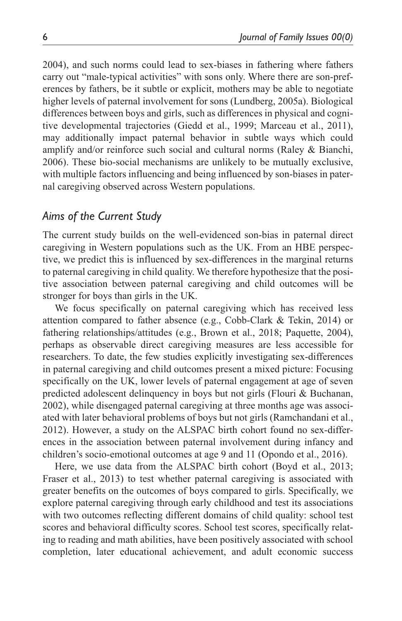2004), and such norms could lead to sex-biases in fathering where fathers carry out "male-typical activities" with sons only. Where there are son-preferences by fathers, be it subtle or explicit, mothers may be able to negotiate higher levels of paternal involvement for sons (Lundberg, 2005a). Biological differences between boys and girls, such as differences in physical and cognitive developmental trajectories (Giedd et al., 1999; Marceau et al., 2011), may additionally impact paternal behavior in subtle ways which could amplify and/or reinforce such social and cultural norms (Raley & Bianchi, 2006). These bio-social mechanisms are unlikely to be mutually exclusive, with multiple factors influencing and being influenced by son-biases in paternal caregiving observed across Western populations.

#### *Aims of the Current Study*

The current study builds on the well-evidenced son-bias in paternal direct caregiving in Western populations such as the UK. From an HBE perspective, we predict this is influenced by sex-differences in the marginal returns to paternal caregiving in child quality. We therefore hypothesize that the positive association between paternal caregiving and child outcomes will be stronger for boys than girls in the UK.

We focus specifically on paternal caregiving which has received less attention compared to father absence (e.g., Cobb-Clark & Tekin, 2014) or fathering relationships/attitudes (e.g., Brown et al., 2018; Paquette, 2004), perhaps as observable direct caregiving measures are less accessible for researchers. To date, the few studies explicitly investigating sex-differences in paternal caregiving and child outcomes present a mixed picture: Focusing specifically on the UK, lower levels of paternal engagement at age of seven predicted adolescent delinquency in boys but not girls (Flouri & Buchanan, 2002), while disengaged paternal caregiving at three months age was associated with later behavioral problems of boys but not girls (Ramchandani et al., 2012). However, a study on the ALSPAC birth cohort found no sex-differences in the association between paternal involvement during infancy and children's socio-emotional outcomes at age 9 and 11 (Opondo et al., 2016).

Here, we use data from the ALSPAC birth cohort (Boyd et al., 2013; Fraser et al., 2013) to test whether paternal caregiving is associated with greater benefits on the outcomes of boys compared to girls. Specifically, we explore paternal caregiving through early childhood and test its associations with two outcomes reflecting different domains of child quality: school test scores and behavioral difficulty scores. School test scores, specifically relating to reading and math abilities, have been positively associated with school completion, later educational achievement, and adult economic success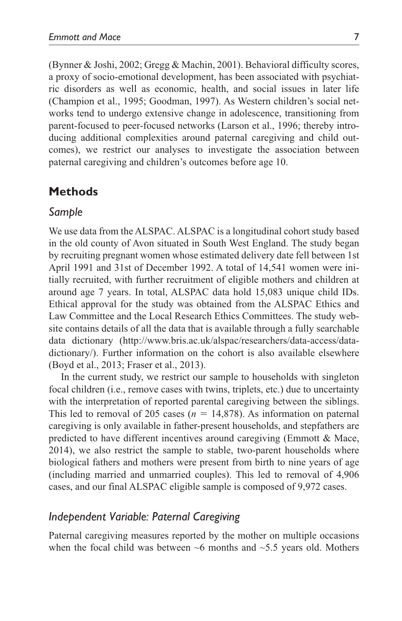(Bynner & Joshi, 2002; Gregg & Machin, 2001). Behavioral difficulty scores, a proxy of socio-emotional development, has been associated with psychiatric disorders as well as economic, health, and social issues in later life (Champion et al., 1995; Goodman, 1997). As Western children's social networks tend to undergo extensive change in adolescence, transitioning from parent-focused to peer-focused networks (Larson et al., 1996; thereby introducing additional complexities around paternal caregiving and child outcomes), we restrict our analyses to investigate the association between paternal caregiving and children's outcomes before age 10.

### **Methods**

#### *Sample*

We use data from the ALSPAC. ALSPAC is a longitudinal cohort study based in the old county of Avon situated in South West England. The study began by recruiting pregnant women whose estimated delivery date fell between 1st April 1991 and 31st of December 1992. A total of 14,541 women were initially recruited, with further recruitment of eligible mothers and children at around age 7 years. In total, ALSPAC data hold 15,083 unique child IDs. Ethical approval for the study was obtained from the ALSPAC Ethics and Law Committee and the Local Research Ethics Committees. The study website contains details of all the data that is available through a fully searchable data dictionary [\(http://www.bris.ac.uk/alspac/researchers/data-access/data](http://www.bris.ac.uk/alspac/researchers/data-access/data-dictionary/)[dictionary/](http://www.bris.ac.uk/alspac/researchers/data-access/data-dictionary/)). Further information on the cohort is also available elsewhere (Boyd et al., 2013; Fraser et al., 2013).

In the current study, we restrict our sample to households with singleton focal children (i.e., remove cases with twins, triplets, etc.) due to uncertainty with the interpretation of reported parental caregiving between the siblings. This led to removal of 205 cases ( $n = 14,878$ ). As information on paternal caregiving is only available in father-present households, and stepfathers are predicted to have different incentives around caregiving (Emmott & Mace, 2014), we also restrict the sample to stable, two-parent households where biological fathers and mothers were present from birth to nine years of age (including married and unmarried couples). This led to removal of 4,906 cases, and our final ALSPAC eligible sample is composed of 9,972 cases.

#### *Independent Variable: Paternal Caregiving*

Paternal caregiving measures reported by the mother on multiple occasions when the focal child was between  $~6$  months and  $~5.5$  years old. Mothers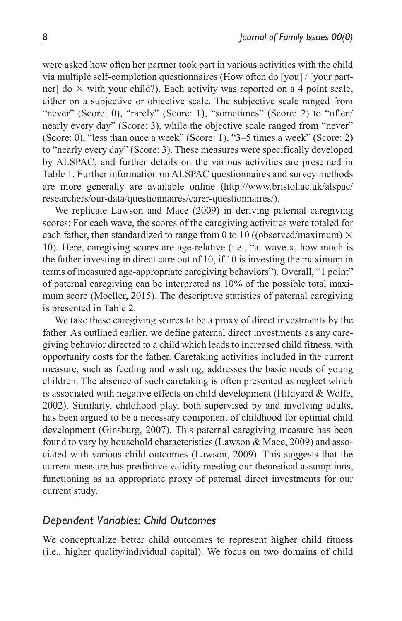were asked how often her partner took part in various activities with the child via multiple self-completion questionnaires (How often do [you] / [your partner] do  $\times$  with your child?). Each activity was reported on a 4 point scale, either on a subjective or objective scale. The subjective scale ranged from "never" (Score: 0), "rarely" (Score: 1), "sometimes" (Score: 2) to "often/ nearly every day" (Score: 3), while the objective scale ranged from "never" (Score: 0), "less than once a week" (Score: 1), "3–5 times a week" (Score: 2) to "nearly every day" (Score: 3). These measures were specifically developed by ALSPAC, and further details on the various activities are presented in Table 1. Further information on ALSPAC questionnaires and survey methods are more generally are available online ([http://www.bristol.ac.uk/alspac/](http://www.bristol.ac.uk/alspac/researchers/our-data/questionnaires/carer-questionnaires/) [researchers/our-data/questionnaires/carer-questionnaires/\)](http://www.bristol.ac.uk/alspac/researchers/our-data/questionnaires/carer-questionnaires/).

We replicate Lawson and Mace (2009) in deriving paternal caregiving scores: For each wave, the scores of the caregiving activities were totaled for each father, then standardized to range from 0 to 10 ((observed/maximum)  $\times$ 10). Here, caregiving scores are age-relative (i.e., "at wave x, how much is the father investing in direct care out of 10, if 10 is investing the maximum in terms of measured age-appropriate caregiving behaviors"). Overall, "1 point" of paternal caregiving can be interpreted as 10% of the possible total maximum score (Moeller, 2015). The descriptive statistics of paternal caregiving is presented in Table 2.

We take these caregiving scores to be a proxy of direct investments by the father. As outlined earlier, we define paternal direct investments as any caregiving behavior directed to a child which leads to increased child fitness, with opportunity costs for the father. Caretaking activities included in the current measure, such as feeding and washing, addresses the basic needs of young children. The absence of such caretaking is often presented as neglect which is associated with negative effects on child development (Hildyard & Wolfe, 2002). Similarly, childhood play, both supervised by and involving adults, has been argued to be a necessary component of childhood for optimal child development (Ginsburg, 2007). This paternal caregiving measure has been found to vary by household characteristics (Lawson & Mace, 2009) and associated with various child outcomes (Lawson, 2009). This suggests that the current measure has predictive validity meeting our theoretical assumptions, functioning as an appropriate proxy of paternal direct investments for our current study.

## *Dependent Variables: Child Outcomes*

We conceptualize better child outcomes to represent higher child fitness (i.e., higher quality/individual capital). We focus on two domains of child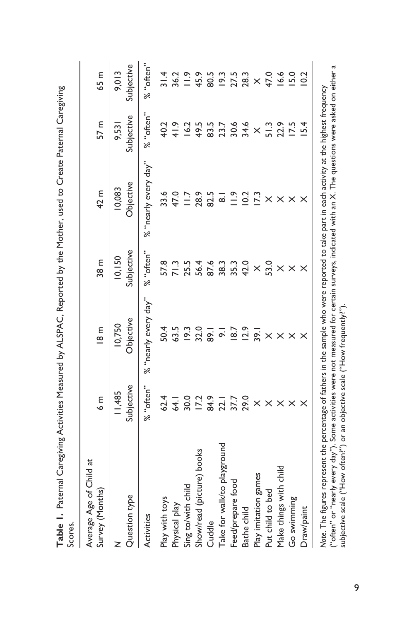| Scores.                                                                                                                                      |                      |                        |                      |                      |                     |                        |
|----------------------------------------------------------------------------------------------------------------------------------------------|----------------------|------------------------|----------------------|----------------------|---------------------|------------------------|
| Average Age of Child at<br>Survey (Months)                                                                                                   | $6 \text{ m}$        | $\frac{2}{8}$          | 38 <sub>m</sub>      | 42 m                 | 57 m                | 65 m                   |
| Question type<br>z                                                                                                                           | Subjective<br>11,485 | Objective<br>10,750    | Subjective<br>10,150 | Objective<br>10,083  | Subjective<br>9,531 | Subjective<br>9,013    |
| Activities                                                                                                                                   | % "often"            | % "nearly every day"   | % "often"            | % "nearly every day" | % "often"           | % "often"              |
| Play with toys                                                                                                                               | 62.4                 | 50.4                   | 57.8                 | 33.6                 | 40.2                | $\frac{4}{3}$          |
| Physical play                                                                                                                                | 64.1                 | 63.5                   | 71.3                 | 47.0                 | 41.9                | 36.2                   |
| Sing to/with child                                                                                                                           | 30.0                 | 19.3                   | 25.5                 | $\overline{117}$     | 16.2                | $\frac{5}{1}$          |
| Show/read (picture) books                                                                                                                    | 17.2                 | 32.0                   | 56.4                 | 28.9                 | 49.5                | 45.9                   |
| Cuddle                                                                                                                                       | 84.9                 | $\overline{\tilde{s}}$ | 87.6                 | 82.5                 | 83.5                | 80.5                   |
| Take for walk/to playground                                                                                                                  | 22.1                 | $\overline{\circ}$     | 38.3                 | $\overline{\infty}$  | 23.7                |                        |
| Feed/prepare tood                                                                                                                            | 37.7                 | 18.7                   | 35.3                 | $\frac{5}{1}$        | 30.6                | $19.3$<br>27.5<br>28.3 |
| Bathe child                                                                                                                                  | 29.0                 | 12.9                   | 42.0                 | 10.2                 | 34.6                |                        |
| Play imitation games                                                                                                                         | $\times$             | 39.1                   | $\times$             | 17.3                 | $\times$            | $\times$               |
| Put child to bed                                                                                                                             | $\times$             | $\times$               | 53.0                 | $\times$             | 51.3                | 47.0                   |
| Make things with child                                                                                                                       | $\times$             | $\times$               | $\times$             | $\times$             | 22.9                | 16.6                   |
| Go swimming                                                                                                                                  | $\times$             | $\times$               | $\times$             | $\times$             | 17.5                | 15.0                   |
| Draw/paint                                                                                                                                   |                      |                        | $\times$             | ×                    | 15.4                | 10.2                   |
| Note. The figures represent the percentage of fathers in the sample who were reported to take part in each activity at the highest frequency |                      |                        |                      |                      |                     |                        |

Table 1. Paternal Caregiving Activities Measured by ALSPAC, Reported by the Mother, used to Create Paternal Caregiving **Table 1.** Paternal Caregiving Activities Measured by ALSPAC, Reported by the Mother, used to Create Paternal Caregiving

("often" or "nearly every day"). Some activities were not measured for certain surveys, indicated with an X. The questions were asked on either a ("often" or "nearly every day"). Some activities were not measured for certain surveys, indicated with an X. The questions were asked on either a *Note*. The figures represent the percentage of fathers in the sample who were reported to take part in each activity at the highest frequency subjective scale ("How often?") or an objective scale ("How frequently?"). subjective scale ("How often?") or an objective scale ("How frequently?").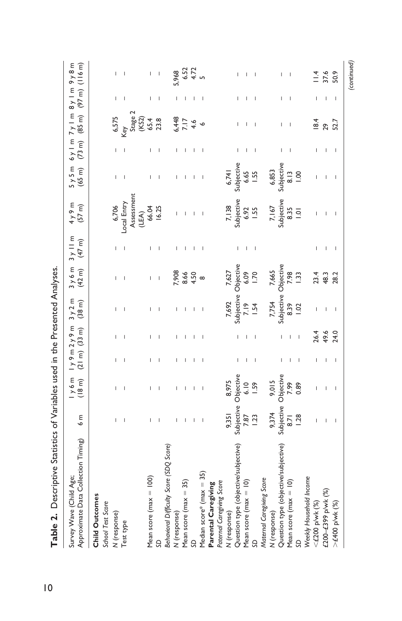| ı<br>j<br>$\overline{0}$ |
|--------------------------|
|                          |
|                          |
|                          |
|                          |
|                          |
|                          |
|                          |
|                          |
|                          |
|                          |
|                          |
|                          |
|                          |

| Approximate Data Collection Timing)<br>Survey Wave (Child Age; | 6 <sub>m</sub>       | y 6 m<br>$(18 \text{ m})$         | 1y9m2y9m<br>$(21 \text{ m})$ $(33 \text{ m})$ |      | 3y2m<br>$(38 \text{ m})$ | $3y6m$<br>(42 m) | $3y$ II m<br>$(47 \text{ m})$         | 4y9m<br>$(57 \text{ m})$     | 5y5m<br>$(65 \text{ m})$ | $(73 \text{ m})$ | $6y$   m $7y$   m $8y$   m $9y8$ m<br>$(85 \text{ m})$ | $(97 \text{ m})$ (116 m) |
|----------------------------------------------------------------|----------------------|-----------------------------------|-----------------------------------------------|------|--------------------------|------------------|---------------------------------------|------------------------------|--------------------------|------------------|--------------------------------------------------------|--------------------------|
| Child Outcomes                                                 |                      |                                   |                                               |      |                          |                  |                                       |                              |                          |                  |                                                        |                          |
| School Test Score                                              |                      |                                   |                                               |      |                          |                  |                                       |                              |                          |                  |                                                        |                          |
| (response)                                                     |                      |                                   |                                               |      |                          |                  |                                       | 6,706                        |                          |                  | 6,575<br>Key                                           |                          |
| Test type                                                      |                      |                                   |                                               |      |                          |                  |                                       | Local Entry                  |                          |                  |                                                        |                          |
|                                                                |                      |                                   |                                               |      |                          |                  |                                       | Assessment                   |                          |                  | Stage 2                                                |                          |
| Mean score ( $max = 100$ )                                     |                      |                                   |                                               |      |                          |                  |                                       | 66.04<br>(LEA)               |                          |                  | (KS2)                                                  |                          |
| SD                                                             |                      |                                   |                                               |      |                          |                  |                                       | 16.25                        |                          |                  |                                                        |                          |
| Behavioral Difficulty Score (SDQ Score)                        |                      |                                   |                                               |      |                          |                  |                                       |                              |                          |                  |                                                        |                          |
| N (response)                                                   |                      |                                   |                                               |      |                          | 7,908            |                                       |                              |                          |                  | 6,448                                                  | 5,968                    |
| Mean score ( $max = 35$ )                                      |                      |                                   |                                               |      |                          | 8.66             |                                       |                              |                          |                  |                                                        | 6.52                     |
| S                                                              |                      |                                   |                                               |      |                          | 4.50             |                                       |                              |                          |                  | $7.17$<br>4.6                                          | 4.72                     |
| Median score* (max $= 35$ )                                    |                      |                                   |                                               |      |                          |                  |                                       |                              |                          |                  |                                                        |                          |
| Parental Caregiving                                            |                      |                                   |                                               |      |                          |                  |                                       |                              |                          |                  |                                                        |                          |
| Paternal Caregiving Score                                      |                      |                                   |                                               |      |                          |                  |                                       |                              |                          |                  |                                                        |                          |
| N (response)                                                   | 9,351                | 8,975                             |                                               |      | 7,692                    | 7,627            |                                       |                              | 6,741                    |                  |                                                        |                          |
| Question type (objective/subjective)                           | Subjective Objective |                                   |                                               |      | Subjective Objective     |                  |                                       | 7,138<br>Subjective          | Subjective               |                  |                                                        |                          |
| Mean score ( $max = 10$ )                                      | 7.87                 | 6.10                              |                                               |      | 7.19                     | 6.09             |                                       | 6.92                         | 6.65                     |                  |                                                        |                          |
| S                                                              | 1.23                 | <b>1.59</b>                       |                                               |      | 1.54                     | 1.70             |                                       | <b>1.55</b>                  | <b>1.55</b>              |                  |                                                        |                          |
| Maternal Caregiving Score                                      |                      |                                   |                                               |      |                          |                  |                                       |                              |                          |                  |                                                        |                          |
| N (response)                                                   | 9,374                | 9,015                             |                                               |      | 7,754                    | 7,665            |                                       | 7, 167<br>Subjective<br>8.35 | 6,853                    |                  |                                                        |                          |
| Question type (objective/subjective)                           |                      | Subjective Objective<br>8.71 7.99 |                                               |      | Subjective Objective     |                  |                                       |                              | Subjective               |                  |                                                        |                          |
| Mean score (max $= 10$ )                                       |                      |                                   |                                               |      | 8.39                     | 7.98             |                                       |                              | $\frac{3}{8}$            |                  |                                                        |                          |
| S                                                              | 1.28                 | 0.89                              |                                               |      | $\approx$                | $\frac{33}{2}$   |                                       | $\overline{a}$               | $\frac{8}{10}$           |                  |                                                        |                          |
| Weekly Household Income                                        |                      |                                   |                                               |      |                          |                  |                                       |                              |                          |                  |                                                        |                          |
| $<$ £200 p/wk $(%)$                                            |                      |                                   |                                               | 26.4 |                          | 23.4             |                                       |                              |                          |                  | 18.4                                                   | $\frac{4}{1}$            |
| £200-£399 p/wk (%)                                             |                      |                                   |                                               | 49.6 |                          | 48.3             | I.                                    |                              |                          |                  | 29                                                     | 37.6                     |
| >£400 p/wk (%)                                                 |                      | I                                 |                                               | 24.0 |                          | 28.2             | $\begin{array}{c} \hline \end{array}$ |                              |                          |                  | 52.7                                                   | 50.9                     |
|                                                                |                      |                                   |                                               |      |                          |                  |                                       |                              |                          |                  |                                                        |                          |

*(continued)*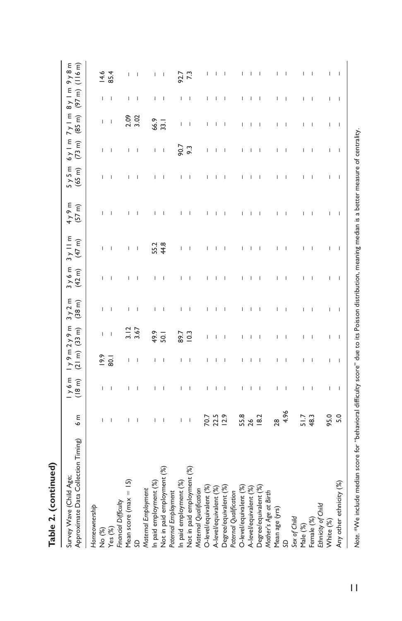| Table 2. (continued)                                           |                                                                                                                                                                                                                                                                                                                                                                                  |                                       |                          |                          |                                       |                          |                                       |                     |                          |                                                                                                                                                                                                                                                                                                                                                                                  |                                                                                                                                                                                                                                                                                                                                                                                  |                          |          |
|----------------------------------------------------------------|----------------------------------------------------------------------------------------------------------------------------------------------------------------------------------------------------------------------------------------------------------------------------------------------------------------------------------------------------------------------------------|---------------------------------------|--------------------------|--------------------------|---------------------------------------|--------------------------|---------------------------------------|---------------------|--------------------------|----------------------------------------------------------------------------------------------------------------------------------------------------------------------------------------------------------------------------------------------------------------------------------------------------------------------------------------------------------------------------------|----------------------------------------------------------------------------------------------------------------------------------------------------------------------------------------------------------------------------------------------------------------------------------------------------------------------------------------------------------------------------------|--------------------------|----------|
| Approximate Data Collection Timing)<br>Survey Wave (Child Age; | ε<br>o                                                                                                                                                                                                                                                                                                                                                                           | 1y6m<br>(18 m)                        | $(21 \text{ m})$         | 1y9m2y9m<br>$(33 \, m)$  | 3y2m<br>(38 <sub>m</sub> )            | 3y6m<br>$(42 \text{ m})$ | $3y$ II m<br>$(47 \text{ m})$         | 4y9m<br>$(57 \, m)$ | 5y5m<br>$(65 \text{ m})$ | $6y \mid m$<br>$(73 \text{ m})$                                                                                                                                                                                                                                                                                                                                                  | $7y \mid m$<br>$(85 \text{ m})$                                                                                                                                                                                                                                                                                                                                                  | $(97 \text{ m})$ (116 m) | 8y/m9y8m |
| Homeownership                                                  |                                                                                                                                                                                                                                                                                                                                                                                  |                                       |                          |                          |                                       |                          |                                       |                     |                          |                                                                                                                                                                                                                                                                                                                                                                                  |                                                                                                                                                                                                                                                                                                                                                                                  |                          |          |
| No (%)<br>Yes (%)                                              |                                                                                                                                                                                                                                                                                                                                                                                  | I                                     | 19.9                     | I                        | I                                     | ı                        | I                                     |                     | ı                        | L                                                                                                                                                                                                                                                                                                                                                                                | I                                                                                                                                                                                                                                                                                                                                                                                |                          | 14.6     |
|                                                                | $\begin{array}{c} \hline \end{array}$                                                                                                                                                                                                                                                                                                                                            | $\begin{array}{c} \hline \end{array}$ | $\overline{80}$          | $\overline{\phantom{a}}$ | $\begin{array}{c} \hline \end{array}$ | $\overline{\phantom{a}}$ | $\overline{\phantom{a}}$              |                     | I                        | $\mathsf I$                                                                                                                                                                                                                                                                                                                                                                      | $\begin{array}{c} \rule{0pt}{2.5ex} \rule{0pt}{2.5ex} \rule{0pt}{2.5ex} \rule{0pt}{2.5ex} \rule{0pt}{2.5ex} \rule{0pt}{2.5ex} \rule{0pt}{2.5ex} \rule{0pt}{2.5ex} \rule{0pt}{2.5ex} \rule{0pt}{2.5ex} \rule{0pt}{2.5ex} \rule{0pt}{2.5ex} \rule{0pt}{2.5ex} \rule{0pt}{2.5ex} \rule{0pt}{2.5ex} \rule{0pt}{2.5ex} \rule{0pt}{2.5ex} \rule{0pt}{2.5ex} \rule{0pt}{2.5ex} \rule{0$ | I                        | 85.4     |
| Financial Difficulty                                           |                                                                                                                                                                                                                                                                                                                                                                                  |                                       |                          |                          |                                       |                          |                                       |                     |                          |                                                                                                                                                                                                                                                                                                                                                                                  |                                                                                                                                                                                                                                                                                                                                                                                  |                          |          |
| Mean score ( $max = 15$ )                                      |                                                                                                                                                                                                                                                                                                                                                                                  | $\overline{1}$                        | I                        | 3.12                     | I                                     | $\overline{1}$           | $\overline{1}$                        |                     |                          | L                                                                                                                                                                                                                                                                                                                                                                                | 2.09                                                                                                                                                                                                                                                                                                                                                                             | $\overline{\phantom{a}}$ |          |
| S                                                              | $\overline{\phantom{a}}$                                                                                                                                                                                                                                                                                                                                                         | I                                     | $\overline{\phantom{a}}$ | 3.67                     | $\overline{1}$                        | I                        | $\begin{array}{c} \hline \end{array}$ |                     |                          | $\overline{\phantom{a}}$                                                                                                                                                                                                                                                                                                                                                         | 3.02                                                                                                                                                                                                                                                                                                                                                                             | I                        |          |
| Matemal Employment                                             |                                                                                                                                                                                                                                                                                                                                                                                  |                                       |                          |                          |                                       |                          |                                       |                     |                          |                                                                                                                                                                                                                                                                                                                                                                                  |                                                                                                                                                                                                                                                                                                                                                                                  |                          |          |
| In paid employment (%)                                         |                                                                                                                                                                                                                                                                                                                                                                                  | I                                     |                          | 49.9                     | $\overline{\phantom{a}}$              |                          | 55.2                                  |                     |                          | $\begin{array}{c} \rule{0pt}{2.5ex} \rule{0pt}{2.5ex} \rule{0pt}{2.5ex} \rule{0pt}{2.5ex} \rule{0pt}{2.5ex} \rule{0pt}{2.5ex} \rule{0pt}{2.5ex} \rule{0pt}{2.5ex} \rule{0pt}{2.5ex} \rule{0pt}{2.5ex} \rule{0pt}{2.5ex} \rule{0pt}{2.5ex} \rule{0pt}{2.5ex} \rule{0pt}{2.5ex} \rule{0pt}{2.5ex} \rule{0pt}{2.5ex} \rule{0pt}{2.5ex} \rule{0pt}{2.5ex} \rule{0pt}{2.5ex} \rule{0$ | 66.9                                                                                                                                                                                                                                                                                                                                                                             | I                        |          |
| Not in paid employment (%)                                     |                                                                                                                                                                                                                                                                                                                                                                                  |                                       |                          | 50.1                     | $\overline{1}$                        | I                        | 44.8                                  |                     |                          | $\begin{array}{c} \hline \end{array}$                                                                                                                                                                                                                                                                                                                                            | 33.1                                                                                                                                                                                                                                                                                                                                                                             |                          |          |
| Paternal Employment                                            |                                                                                                                                                                                                                                                                                                                                                                                  |                                       |                          |                          |                                       |                          |                                       |                     |                          |                                                                                                                                                                                                                                                                                                                                                                                  |                                                                                                                                                                                                                                                                                                                                                                                  |                          |          |
| In paid employment (%)                                         | $\begin{array}{c} \rule{0pt}{2.5ex} \rule{0pt}{2.5ex} \rule{0pt}{2.5ex} \rule{0pt}{2.5ex} \rule{0pt}{2.5ex} \rule{0pt}{2.5ex} \rule{0pt}{2.5ex} \rule{0pt}{2.5ex} \rule{0pt}{2.5ex} \rule{0pt}{2.5ex} \rule{0pt}{2.5ex} \rule{0pt}{2.5ex} \rule{0pt}{2.5ex} \rule{0pt}{2.5ex} \rule{0pt}{2.5ex} \rule{0pt}{2.5ex} \rule{0pt}{2.5ex} \rule{0pt}{2.5ex} \rule{0pt}{2.5ex} \rule{0$ | I                                     |                          | 89.7                     | $\begin{array}{c} \hline \end{array}$ | I                        | I                                     |                     |                          | 90.7                                                                                                                                                                                                                                                                                                                                                                             | Ï                                                                                                                                                                                                                                                                                                                                                                                |                          | 92.7     |
| Not in paid employment (%)                                     | $\mathsf I$                                                                                                                                                                                                                                                                                                                                                                      | I                                     |                          | $\frac{2}{3}$            | I                                     | I                        |                                       |                     | ı                        | 9.3                                                                                                                                                                                                                                                                                                                                                                              | I                                                                                                                                                                                                                                                                                                                                                                                |                          | 7.3      |
| Matemal Qualification                                          |                                                                                                                                                                                                                                                                                                                                                                                  |                                       |                          |                          |                                       |                          |                                       |                     |                          |                                                                                                                                                                                                                                                                                                                                                                                  |                                                                                                                                                                                                                                                                                                                                                                                  |                          |          |
| O-level/equivalent (%)                                         | 70.7                                                                                                                                                                                                                                                                                                                                                                             | I                                     |                          |                          | I                                     | I                        |                                       |                     | ı                        | Ï                                                                                                                                                                                                                                                                                                                                                                                | I                                                                                                                                                                                                                                                                                                                                                                                | I                        |          |
| A-level/equivalent (%)                                         | 22.5                                                                                                                                                                                                                                                                                                                                                                             | I                                     |                          |                          |                                       |                          |                                       |                     |                          | ı                                                                                                                                                                                                                                                                                                                                                                                |                                                                                                                                                                                                                                                                                                                                                                                  |                          |          |
| Degree/equivalent (%)                                          | 12.9                                                                                                                                                                                                                                                                                                                                                                             | I                                     |                          |                          |                                       | I                        |                                       |                     |                          | I                                                                                                                                                                                                                                                                                                                                                                                |                                                                                                                                                                                                                                                                                                                                                                                  |                          |          |
| Paternal Qualification                                         |                                                                                                                                                                                                                                                                                                                                                                                  |                                       |                          |                          |                                       |                          |                                       |                     |                          |                                                                                                                                                                                                                                                                                                                                                                                  |                                                                                                                                                                                                                                                                                                                                                                                  |                          |          |
| O-level/equivalent (%)                                         | 55.8                                                                                                                                                                                                                                                                                                                                                                             | I                                     |                          |                          | I                                     | T                        |                                       |                     |                          | I                                                                                                                                                                                                                                                                                                                                                                                | I                                                                                                                                                                                                                                                                                                                                                                                |                          |          |
| A-level/equivalent (%)                                         | 26                                                                                                                                                                                                                                                                                                                                                                               | ı                                     |                          |                          |                                       |                          |                                       |                     |                          |                                                                                                                                                                                                                                                                                                                                                                                  |                                                                                                                                                                                                                                                                                                                                                                                  |                          |          |
| Degree/equivalent (%)                                          | 18.2                                                                                                                                                                                                                                                                                                                                                                             | I                                     | I                        |                          | I                                     | I                        |                                       |                     |                          | I                                                                                                                                                                                                                                                                                                                                                                                | I                                                                                                                                                                                                                                                                                                                                                                                | I                        |          |
| Mother's Age at Birth                                          |                                                                                                                                                                                                                                                                                                                                                                                  |                                       |                          |                          |                                       |                          |                                       |                     |                          |                                                                                                                                                                                                                                                                                                                                                                                  |                                                                                                                                                                                                                                                                                                                                                                                  |                          |          |
| Mean age (yrs)                                                 | 28                                                                                                                                                                                                                                                                                                                                                                               | I                                     |                          |                          |                                       |                          |                                       |                     |                          |                                                                                                                                                                                                                                                                                                                                                                                  |                                                                                                                                                                                                                                                                                                                                                                                  |                          |          |
|                                                                | 4.96                                                                                                                                                                                                                                                                                                                                                                             | $\overline{\phantom{a}}$              |                          |                          | I                                     | I                        | I                                     |                     |                          | I                                                                                                                                                                                                                                                                                                                                                                                |                                                                                                                                                                                                                                                                                                                                                                                  |                          |          |
| Sex of Child                                                   |                                                                                                                                                                                                                                                                                                                                                                                  |                                       |                          |                          |                                       |                          |                                       |                     |                          |                                                                                                                                                                                                                                                                                                                                                                                  |                                                                                                                                                                                                                                                                                                                                                                                  |                          |          |
| Male (%)                                                       | 51.7                                                                                                                                                                                                                                                                                                                                                                             | I                                     |                          |                          | I                                     | I                        |                                       |                     |                          | I                                                                                                                                                                                                                                                                                                                                                                                | I                                                                                                                                                                                                                                                                                                                                                                                | I                        |          |
| Female (%)                                                     | 48.3                                                                                                                                                                                                                                                                                                                                                                             | I                                     |                          |                          | I                                     | I                        | I                                     |                     |                          | I                                                                                                                                                                                                                                                                                                                                                                                | I                                                                                                                                                                                                                                                                                                                                                                                |                          |          |
| Ethnicity of Child                                             |                                                                                                                                                                                                                                                                                                                                                                                  |                                       |                          |                          |                                       |                          |                                       |                     |                          |                                                                                                                                                                                                                                                                                                                                                                                  |                                                                                                                                                                                                                                                                                                                                                                                  |                          |          |
| White (%)                                                      | 95.0                                                                                                                                                                                                                                                                                                                                                                             | $\overline{\phantom{a}}$              | $\overline{1}$           | I                        | $\overline{\phantom{a}}$              | $\overline{1}$           | I                                     |                     |                          | I                                                                                                                                                                                                                                                                                                                                                                                | I                                                                                                                                                                                                                                                                                                                                                                                | $\overline{1}$           |          |
| Any other ethnicity (%)                                        | 5.0                                                                                                                                                                                                                                                                                                                                                                              | $\sf I$                               | $\mathsf{I}$             | $\mathsf{I}$             | $\mathsf{I}$                          | $\mathsf{I}$             | $\mathsf{I}$                          | I                   | $\overline{1}$           | $\mathsf{I}$                                                                                                                                                                                                                                                                                                                                                                     | $\mathsf{I}$                                                                                                                                                                                                                                                                                                                                                                     | $\overline{1}$           | I        |
|                                                                |                                                                                                                                                                                                                                                                                                                                                                                  |                                       |                          |                          |                                       |                          |                                       |                     |                          |                                                                                                                                                                                                                                                                                                                                                                                  |                                                                                                                                                                                                                                                                                                                                                                                  |                          |          |

Note. \*We include median score for "behavioral difficulty score" due to its Poisson distribution, meaning median is a better measure of centrality. *Note.* \*We include median score for "behavioral difficulty score" due to its Poisson distribution, meaning median is a better measure of centrality.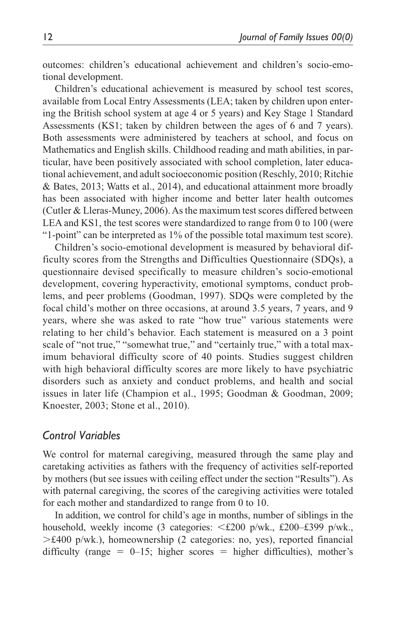outcomes: children's educational achievement and children's socio-emotional development.

Children's educational achievement is measured by school test scores, available from Local Entry Assessments (LEA; taken by children upon entering the British school system at age 4 or 5 years) and Key Stage 1 Standard Assessments (KS1; taken by children between the ages of 6 and 7 years). Both assessments were administered by teachers at school, and focus on Mathematics and English skills. Childhood reading and math abilities, in particular, have been positively associated with school completion, later educational achievement, and adult socioeconomic position (Reschly, 2010; Ritchie & Bates, 2013; Watts et al., 2014), and educational attainment more broadly has been associated with higher income and better later health outcomes (Cutler & Lleras-Muney, 2006). As the maximum test scores differed between LEA and KS1, the test scores were standardized to range from 0 to 100 (were "1-point" can be interpreted as 1% of the possible total maximum test score).

Children's socio-emotional development is measured by behavioral difficulty scores from the Strengths and Difficulties Questionnaire (SDQs), a questionnaire devised specifically to measure children's socio-emotional development, covering hyperactivity, emotional symptoms, conduct problems, and peer problems (Goodman, 1997). SDQs were completed by the focal child's mother on three occasions, at around 3.5 years, 7 years, and 9 years, where she was asked to rate "how true" various statements were relating to her child's behavior. Each statement is measured on a 3 point scale of "not true," "somewhat true," and "certainly true," with a total maximum behavioral difficulty score of 40 points. Studies suggest children with high behavioral difficulty scores are more likely to have psychiatric disorders such as anxiety and conduct problems, and health and social issues in later life (Champion et al., 1995; Goodman & Goodman, 2009; Knoester, 2003; Stone et al., 2010).

#### *Control Variables*

We control for maternal caregiving, measured through the same play and caretaking activities as fathers with the frequency of activities self-reported by mothers (but see issues with ceiling effect under the section "Results"). As with paternal caregiving, the scores of the caregiving activities were totaled for each mother and standardized to range from 0 to 10.

In addition, we control for child's age in months, number of siblings in the household, weekly income (3 categories: <£200 p/wk., £200–£399 p/wk.,  $>\t f400$  p/wk.), homeownership (2 categories: no, yes), reported financial difficulty (range =  $0-15$ ; higher scores = higher difficulties), mother's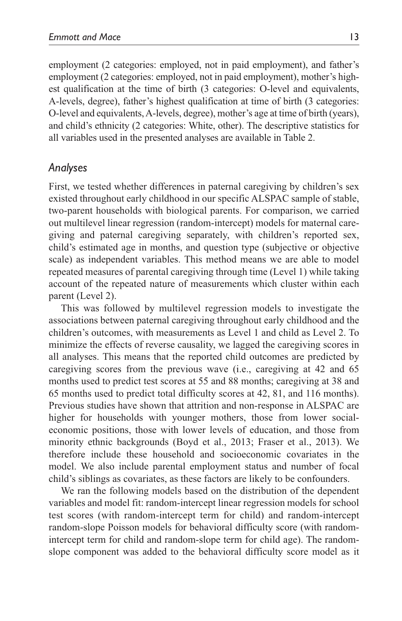employment (2 categories: employed, not in paid employment), and father's employment (2 categories: employed, not in paid employment), mother's highest qualification at the time of birth (3 categories: O-level and equivalents, A-levels, degree), father's highest qualification at time of birth (3 categories: O-level and equivalents, A-levels, degree), mother's age at time of birth (years), and child's ethnicity (2 categories: White, other). The descriptive statistics for all variables used in the presented analyses are available in Table 2.

### *Analyses*

First, we tested whether differences in paternal caregiving by children's sex existed throughout early childhood in our specific ALSPAC sample of stable, two-parent households with biological parents. For comparison, we carried out multilevel linear regression (random-intercept) models for maternal caregiving and paternal caregiving separately, with children's reported sex, child's estimated age in months, and question type (subjective or objective scale) as independent variables. This method means we are able to model repeated measures of parental caregiving through time (Level 1) while taking account of the repeated nature of measurements which cluster within each parent (Level 2).

This was followed by multilevel regression models to investigate the associations between paternal caregiving throughout early childhood and the children's outcomes, with measurements as Level 1 and child as Level 2. To minimize the effects of reverse causality, we lagged the caregiving scores in all analyses. This means that the reported child outcomes are predicted by caregiving scores from the previous wave (i.e., caregiving at 42 and 65 months used to predict test scores at 55 and 88 months; caregiving at 38 and 65 months used to predict total difficulty scores at 42, 81, and 116 months). Previous studies have shown that attrition and non-response in ALSPAC are higher for households with younger mothers, those from lower socialeconomic positions, those with lower levels of education, and those from minority ethnic backgrounds (Boyd et al., 2013; Fraser et al., 2013). We therefore include these household and socioeconomic covariates in the model. We also include parental employment status and number of focal child's siblings as covariates, as these factors are likely to be confounders.

We ran the following models based on the distribution of the dependent variables and model fit: random-intercept linear regression models for school test scores (with random-intercept term for child) and random-intercept random-slope Poisson models for behavioral difficulty score (with randomintercept term for child and random-slope term for child age). The randomslope component was added to the behavioral difficulty score model as it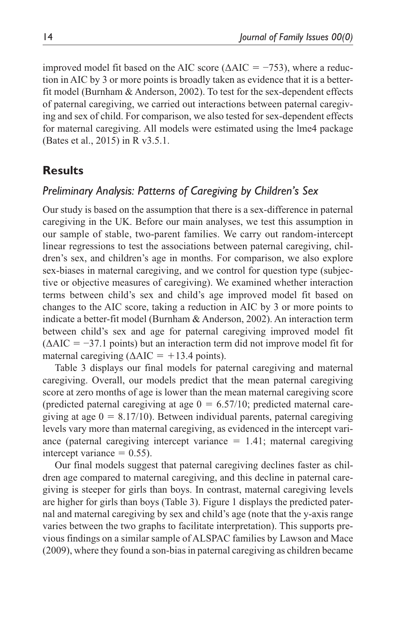improved model fit based on the AIC score ( $\triangle AIC = -753$ ), where a reduction in AIC by 3 or more points is broadly taken as evidence that it is a betterfit model (Burnham & Anderson, 2002). To test for the sex-dependent effects of paternal caregiving, we carried out interactions between paternal caregiving and sex of child. For comparison, we also tested for sex-dependent effects for maternal caregiving. All models were estimated using the lme4 package (Bates et al., 2015) in R v3.5.1.

## **Results**

### *Preliminary Analysis: Patterns of Caregiving by Children's Sex*

Our study is based on the assumption that there is a sex-difference in paternal caregiving in the UK. Before our main analyses, we test this assumption in our sample of stable, two-parent families. We carry out random-intercept linear regressions to test the associations between paternal caregiving, children's sex, and children's age in months. For comparison, we also explore sex-biases in maternal caregiving, and we control for question type (subjective or objective measures of caregiving). We examined whether interaction terms between child's sex and child's age improved model fit based on changes to the AIC score, taking a reduction in AIC by 3 or more points to indicate a better-fit model (Burnham & Anderson, 2002). An interaction term between child's sex and age for paternal caregiving improved model fit  $(\Delta AIC = -37.1$  points) but an interaction term did not improve model fit for maternal caregiving ( $\triangle AIC = +13.4$  points).

Table 3 displays our final models for paternal caregiving and maternal caregiving. Overall, our models predict that the mean paternal caregiving score at zero months of age is lower than the mean maternal caregiving score (predicted paternal caregiving at age  $0 = 6.57/10$ ; predicted maternal caregiving at age  $0 = 8.17/10$ ). Between individual parents, paternal caregiving levels vary more than maternal caregiving, as evidenced in the intercept variance (paternal caregiving intercept variance  $= 1.41$ ; maternal caregiving intercept variance  $= 0.55$ ).

Our final models suggest that paternal caregiving declines faster as children age compared to maternal caregiving, and this decline in paternal caregiving is steeper for girls than boys. In contrast, maternal caregiving levels are higher for girls than boys (Table 3). Figure 1 displays the predicted paternal and maternal caregiving by sex and child's age (note that the y-axis range varies between the two graphs to facilitate interpretation). This supports previous findings on a similar sample of ALSPAC families by Lawson and Mace (2009), where they found a son-bias in paternal caregiving as children became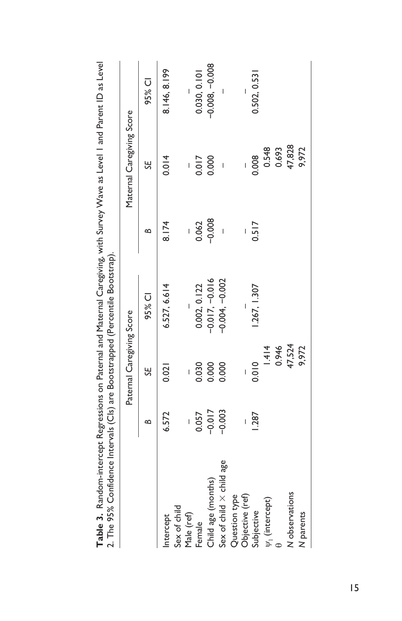| <b>Table 3, Naviet Proprietation is the construction of the California Constitution of the California Constitution in the California of the California of the California California California California California California </b><br>2. The 95% Confidence Intervals (Cls) are Bootstrapped (Percentile Bootstrap). |          |                           |                          |          |                           |                          |
|------------------------------------------------------------------------------------------------------------------------------------------------------------------------------------------------------------------------------------------------------------------------------------------------------------------------|----------|---------------------------|--------------------------|----------|---------------------------|--------------------------|
|                                                                                                                                                                                                                                                                                                                        |          | Paternal Caregiving Score |                          |          | Maternal Caregiving Score |                          |
|                                                                                                                                                                                                                                                                                                                        | ≏        | SE                        | 95% CI                   | ≃        | SE                        | 95% CI                   |
| Intercept                                                                                                                                                                                                                                                                                                              | 6.572    | 0.021                     | 6.527, 6.614             | 8.174    | 0.014                     | 8.146, 8.199             |
| Sex of child                                                                                                                                                                                                                                                                                                           |          |                           |                          |          |                           |                          |
| Male (ref)                                                                                                                                                                                                                                                                                                             |          |                           | $\overline{\phantom{a}}$ |          |                           | $\overline{\phantom{a}}$ |
| Female                                                                                                                                                                                                                                                                                                                 | 0.057    | 0.030                     | 0.002, 0.122             | 0.062    | 0.017                     | 0.030, 0.101             |
| Child age (months)                                                                                                                                                                                                                                                                                                     | $-0.017$ | 0.000                     | $-0.017, -0.016$         | $-0.008$ | 0.000                     | $-0.008, -0.008$         |
| Sex of child X child age                                                                                                                                                                                                                                                                                               | $-0.003$ | 0.000                     | $-0.004, -0.002$         |          | $\overline{1}$            |                          |
| Question type                                                                                                                                                                                                                                                                                                          |          |                           |                          |          |                           |                          |
| Objective (ref)                                                                                                                                                                                                                                                                                                        |          |                           |                          |          |                           |                          |
| Subjective                                                                                                                                                                                                                                                                                                             | .287     | 0.010                     | .267, 1.307              | 0.517    | 0.008                     | 0.502, 0.531             |
| $\Psi_1$ (intercept)                                                                                                                                                                                                                                                                                                   |          | 1.414                     |                          |          | 0.548                     |                          |
| $\mathbf{\Phi}$                                                                                                                                                                                                                                                                                                        |          | 0.946                     |                          |          | 0.693                     |                          |
| N observations                                                                                                                                                                                                                                                                                                         |          | 47,524                    |                          |          | 47,828                    |                          |
| N parents                                                                                                                                                                                                                                                                                                              |          | 9,972                     |                          |          | 9,972                     |                          |
|                                                                                                                                                                                                                                                                                                                        |          |                           |                          |          |                           |                          |

Table 3. Random-intercent Regressions on Paternal and Maternal Caregiving, with Survey Wave as Level | and Patern ID as Level **Table 3.** Random-intercept Regressions on Paternal and Maternal Caregiving, with Survey Wave as Level 1 and Parent ID as Level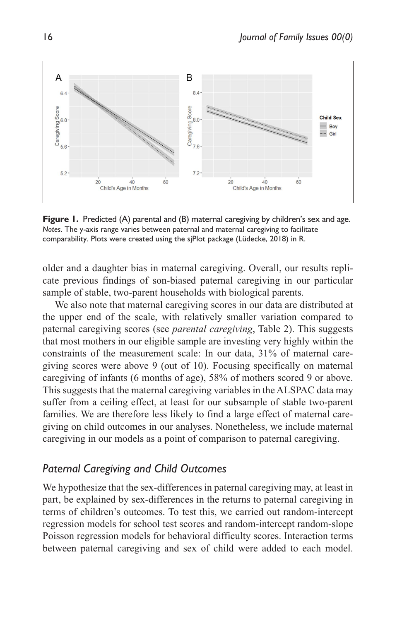

**Figure 1.** Predicted (A) parental and (B) maternal caregiving by children's sex and age. *Notes*. The y-axis range varies between paternal and maternal caregiving to facilitate comparability. Plots were created using the sjPlot package (Lüdecke, 2018) in R.

older and a daughter bias in maternal caregiving. Overall, our results replicate previous findings of son-biased paternal caregiving in our particular sample of stable, two-parent households with biological parents.

We also note that maternal caregiving scores in our data are distributed at the upper end of the scale, with relatively smaller variation compared to paternal caregiving scores (see *parental caregiving*, Table 2). This suggests that most mothers in our eligible sample are investing very highly within the constraints of the measurement scale: In our data, 31% of maternal caregiving scores were above 9 (out of 10). Focusing specifically on maternal caregiving of infants (6 months of age), 58% of mothers scored 9 or above. This suggests that the maternal caregiving variables in the ALSPAC data may suffer from a ceiling effect, at least for our subsample of stable two-parent families. We are therefore less likely to find a large effect of maternal caregiving on child outcomes in our analyses. Nonetheless, we include maternal caregiving in our models as a point of comparison to paternal caregiving.

## *Paternal Caregiving and Child Outcomes*

We hypothesize that the sex-differences in paternal caregiving may, at least in part, be explained by sex-differences in the returns to paternal caregiving in terms of children's outcomes. To test this, we carried out random-intercept regression models for school test scores and random-intercept random-slope Poisson regression models for behavioral difficulty scores. Interaction terms between paternal caregiving and sex of child were added to each model.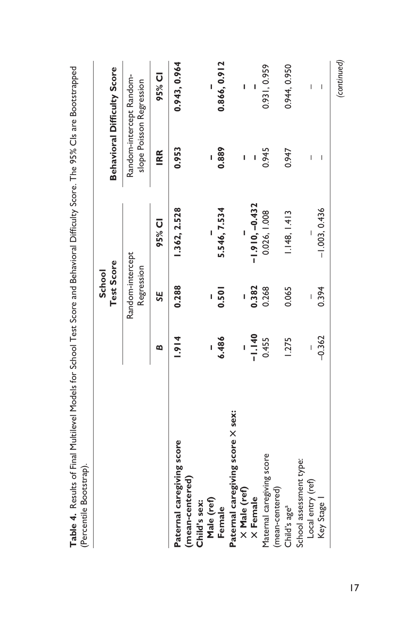|                                              |          | School                         |                  |       |                                                                                                                                                                                                                                                                                                                                                                                  |
|----------------------------------------------|----------|--------------------------------|------------------|-------|----------------------------------------------------------------------------------------------------------------------------------------------------------------------------------------------------------------------------------------------------------------------------------------------------------------------------------------------------------------------------------|
|                                              |          | Test Score                     |                  |       | <b>Behavioral Difficulty Score</b>                                                                                                                                                                                                                                                                                                                                               |
|                                              |          | Random-intercept<br>Regression |                  |       | Random-intercept Random-<br>slope Poisson Regression                                                                                                                                                                                                                                                                                                                             |
|                                              | œ        | SE                             | 95% CI           | IRR   | 95% CI                                                                                                                                                                                                                                                                                                                                                                           |
| Paternal caregiving score<br>(mean-centered) | 1.914    | 0.288                          | 1.362, 2.528     | 0.953 | 0.943, 0.964                                                                                                                                                                                                                                                                                                                                                                     |
| Child's sex:                                 |          |                                |                  |       |                                                                                                                                                                                                                                                                                                                                                                                  |
| Male (ref)                                   |          |                                |                  | I     |                                                                                                                                                                                                                                                                                                                                                                                  |
| Female                                       | 6.486    | 0.501                          | 5.546, 7.534     | 0.889 | 0.866, 0.912                                                                                                                                                                                                                                                                                                                                                                     |
| Paternal caregiving score X sex:             |          |                                |                  |       |                                                                                                                                                                                                                                                                                                                                                                                  |
| $\times$ Male (ref)                          |          |                                |                  | Ï     | I                                                                                                                                                                                                                                                                                                                                                                                |
| X Female                                     | $-1.140$ | 0.382                          | $-1.910, -0.432$ |       |                                                                                                                                                                                                                                                                                                                                                                                  |
| Maternal caregiving score                    | 0.455    | 0.268                          | 0.026, 1.008     | 0.945 | 0.931, 0.959                                                                                                                                                                                                                                                                                                                                                                     |
| (mean-centered)                              |          |                                |                  |       |                                                                                                                                                                                                                                                                                                                                                                                  |
| Child's age <sup>a</sup>                     | 1.275    | 0.065                          | 1.148, 1.413     | 0.947 | 0.944, 0.950                                                                                                                                                                                                                                                                                                                                                                     |
| School assessment type:                      |          |                                |                  |       |                                                                                                                                                                                                                                                                                                                                                                                  |
| Local entry (ref)                            |          |                                |                  | I     | $\begin{array}{c} \rule{0pt}{2.5ex} \rule{0pt}{2.5ex} \rule{0pt}{2.5ex} \rule{0pt}{2.5ex} \rule{0pt}{2.5ex} \rule{0pt}{2.5ex} \rule{0pt}{2.5ex} \rule{0pt}{2.5ex} \rule{0pt}{2.5ex} \rule{0pt}{2.5ex} \rule{0pt}{2.5ex} \rule{0pt}{2.5ex} \rule{0pt}{2.5ex} \rule{0pt}{2.5ex} \rule{0pt}{2.5ex} \rule{0pt}{2.5ex} \rule{0pt}{2.5ex} \rule{0pt}{2.5ex} \rule{0pt}{2.5ex} \rule{0$ |
| Key Stage                                    | $-0.362$ | 0.394                          | $-1.003, 0.436$  | I     | $\mathbf{I}$                                                                                                                                                                                                                                                                                                                                                                     |

**Table 4.** Results of Final Multilevel Models for School Test Score and Behavioral Difficulty Score. The 95% CIs are Bootstrapped ċ  $\bar{\zeta}$ nra/ É C J ś  $\mathcal{L}$ l, ċ  $\overline{c}$ Ë C ï Ė ï  $\ddot{\phantom{0}}$ ť ł, l C ł, į Ė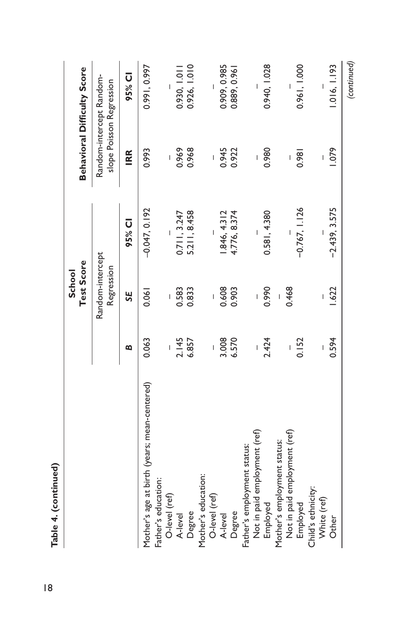|                                                                     |       | Test Score<br>School           |                 |                | <b>Behavioral Difficulty Score</b>                   |
|---------------------------------------------------------------------|-------|--------------------------------|-----------------|----------------|------------------------------------------------------|
|                                                                     |       | Random-intercept<br>Regression |                 |                | Random-intercept Random-<br>slope Poisson Regression |
|                                                                     | ∞     | SE                             | 95% CI          | IRR            | 95% CI                                               |
| Mother's age at birth (years; mean-centered)<br>Father's education: | 0.063 | 0.061                          | $-0.047, 0.192$ | 0.993          | 0.991,0.997                                          |
| O-level (ref)                                                       |       | I                              |                 | Ï              |                                                      |
| A-level                                                             | 2.145 | 0.583                          | 0.711, 3.247    | 0.969          | 0.930, 1.011                                         |
| Degree                                                              | 6.857 | 0.833                          | 5.211, 8.458    | 0.968          | 0.926, 1.010                                         |
| Mother's education:                                                 |       |                                |                 |                |                                                      |
| O-level (ref)                                                       |       | $\overline{1}$                 |                 | $\overline{1}$ |                                                      |
| A-level                                                             | 3.008 | 0.608                          | 846, 4.312      | 0.945          | 0.909, 0.985                                         |
| Degree                                                              | 6.570 | 0.903                          | 4.776, 8.374    | 0.922          | 0.889, 0.961                                         |
| Father's employment status:                                         |       |                                |                 |                |                                                      |
| Not in paid employment (ref)                                        |       |                                |                 |                |                                                      |
| Employed                                                            | 2.424 | 0.990                          | 0.581, 4.380    | 0.980          | 0.940, 1.028                                         |
| Mother's employment status:                                         |       |                                |                 |                |                                                      |
| Not in paid employment (ref)                                        |       | 0.468                          |                 |                |                                                      |
| Employed                                                            | 0.152 |                                | $-0.767, 1.126$ | 0.981          | 0.961, 1.000                                         |
| Child's ethnicity:                                                  |       |                                |                 |                |                                                      |
| White (ref)                                                         |       |                                |                 | Ī              |                                                      |
| Other                                                               | 0.594 | 1.622                          | $-2.439, 3.575$ | 1.079          | 1.016, 1.193                                         |
|                                                                     |       |                                |                 |                | (continued)                                          |

Table 4. (continued) **Table 4. (continued)**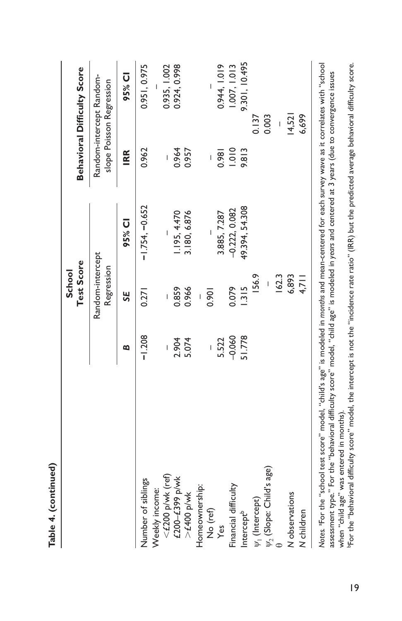|                               |                          | Test Score<br>School           |                  |       | <b>Behavioral Difficulty Score</b>                   |
|-------------------------------|--------------------------|--------------------------------|------------------|-------|------------------------------------------------------|
|                               |                          | Random-intercept<br>Regression |                  |       | Random-intercept Random-<br>slope Poisson Regression |
|                               | ø                        | <b>SE</b>                      | 95% CI           | IRR   | 95% CI                                               |
| Number of siblings            | $-1.208$                 | 0.271                          | $-1.754, -0.652$ | 0.962 | 0.951, 0.975                                         |
| Weekly income:                |                          |                                |                  |       |                                                      |
| $<$ £200 p/wk (ref)           |                          |                                |                  |       | 0.935, 1.002                                         |
| £200-£399 p/wk                | 2.904                    | 0.859                          | 1.195, 4.470     | 0.964 | 0.924, 0.998                                         |
| $>$ £400 p/wk                 |                          | 0.966                          | 3.180, 6.876     | 0.957 |                                                      |
| Homeownership:                |                          | Ī                              |                  |       |                                                      |
| No (ref)                      | $\overline{\phantom{a}}$ | 0.901                          |                  | Ī     |                                                      |
| Yes                           | 5.522                    |                                | 3.885, 7.287     | 0.981 | 0.944, 1.019                                         |
| Financial difficulty          | $-0.060$                 | 0.079                          | $-0.222, 0.082$  | 010.1 | 1.007, 1.013                                         |
| Intercept <sup>b</sup>        | 51.778                   | 1.315                          | 49.394, 54.308   | 9.813 | 9.301, 10.495                                        |
| $\psi_1$ (Intercept)          |                          | 156.9                          |                  |       | 0.137                                                |
| $\psi_2$ (Slope: Child's age) |                          | $\overline{\phantom{a}}$       |                  |       | 0.003                                                |
|                               |                          | 162.3                          |                  |       |                                                      |
| N observations                |                          | 6,893                          |                  |       | 14,521                                               |
| N children                    |                          | 4,711                          |                  |       | 6,699                                                |

**Table 4. (continued)**

Table 4. (continued)

Notes. For the "school test score" model, "child's age" is modeled in *months* and mean-centered for each survey wave as it correlates with "school<br>assessment type." For the "behavioral difficulty score" model, "child age" when "child age" was entered in months).<br>"For the "behavioral difficulty score" model, the intercept is not the "incidence rate ratio" (IRR) but the predicted average behavioral difficulty score.<br>"For the "behavioral diffi assessment type." For the "behavioral difficulty score" model, "child age" is modeled in *years* and centered at 3 years (due to convergence issues when "child age" was entered in months).

bFor the "behavioral difficulty score" model, the intercept is not the "incidence rate ratio" (IRR) but the predicted average behavioral difficulty score.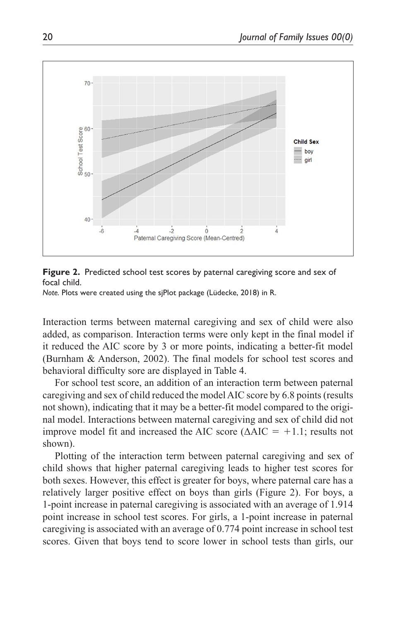

**Figure 2.** Predicted school test scores by paternal caregiving score and sex of focal child.

*Note.* Plots were created using the sjPlot package (Lüdecke, 2018) in R.

Interaction terms between maternal caregiving and sex of child were also added, as comparison. Interaction terms were only kept in the final model if it reduced the AIC score by 3 or more points, indicating a better-fit model (Burnham & Anderson, 2002). The final models for school test scores and behavioral difficulty sore are displayed in Table 4.

For school test score, an addition of an interaction term between paternal caregiving and sex of child reduced the model AIC score by 6.8 points (results not shown), indicating that it may be a better-fit model compared to the original model. Interactions between maternal caregiving and sex of child did not improve model fit and increased the AIC score ( $\triangle AIC = +1.1$ ; results not shown).

Plotting of the interaction term between paternal caregiving and sex of child shows that higher paternal caregiving leads to higher test scores for both sexes. However, this effect is greater for boys, where paternal care has a relatively larger positive effect on boys than girls (Figure 2). For boys, a 1-point increase in paternal caregiving is associated with an average of 1.914 point increase in school test scores. For girls, a 1-point increase in paternal caregiving is associated with an average of 0.774 point increase in school test scores. Given that boys tend to score lower in school tests than girls, our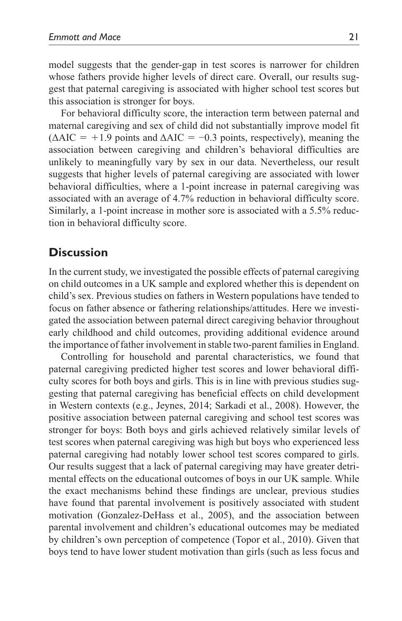model suggests that the gender-gap in test scores is narrower for children whose fathers provide higher levels of direct care. Overall, our results suggest that paternal caregiving is associated with higher school test scores but this association is stronger for boys.

For behavioral difficulty score, the interaction term between paternal and maternal caregiving and sex of child did not substantially improve model fit  $(\Delta AIC = +1.9 \text{ points and } \Delta AIC = -0.3 \text{ points, respectively})$ , meaning the association between caregiving and children's behavioral difficulties are unlikely to meaningfully vary by sex in our data. Nevertheless, our result suggests that higher levels of paternal caregiving are associated with lower behavioral difficulties, where a 1-point increase in paternal caregiving was associated with an average of 4.7% reduction in behavioral difficulty score. Similarly, a 1-point increase in mother sore is associated with a 5.5% reduction in behavioral difficulty score.

## **Discussion**

In the current study, we investigated the possible effects of paternal caregiving on child outcomes in a UK sample and explored whether this is dependent on child's sex. Previous studies on fathers in Western populations have tended to focus on father absence or fathering relationships/attitudes. Here we investigated the association between paternal direct caregiving behavior throughout early childhood and child outcomes, providing additional evidence around the importance of father involvement in stable two-parent families in England.

Controlling for household and parental characteristics, we found that paternal caregiving predicted higher test scores and lower behavioral difficulty scores for both boys and girls. This is in line with previous studies suggesting that paternal caregiving has beneficial effects on child development in Western contexts (e.g., Jeynes, 2014; Sarkadi et al., 2008). However, the positive association between paternal caregiving and school test scores was stronger for boys: Both boys and girls achieved relatively similar levels of test scores when paternal caregiving was high but boys who experienced less paternal caregiving had notably lower school test scores compared to girls. Our results suggest that a lack of paternal caregiving may have greater detrimental effects on the educational outcomes of boys in our UK sample. While the exact mechanisms behind these findings are unclear, previous studies have found that parental involvement is positively associated with student motivation (Gonzalez-DeHass et al., 2005), and the association between parental involvement and children's educational outcomes may be mediated by children's own perception of competence (Topor et al., 2010). Given that boys tend to have lower student motivation than girls (such as less focus and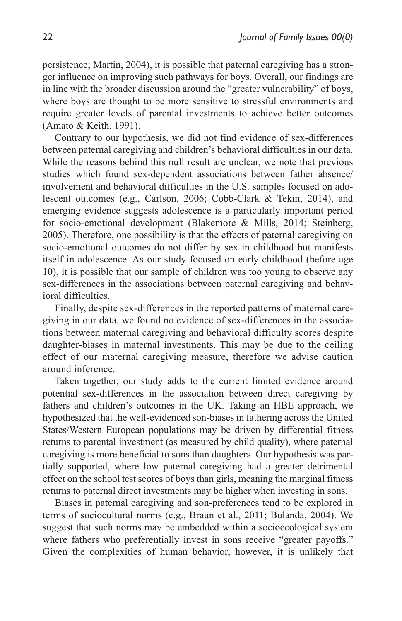persistence; Martin, 2004), it is possible that paternal caregiving has a stronger influence on improving such pathways for boys. Overall, our findings are in line with the broader discussion around the "greater vulnerability" of boys, where boys are thought to be more sensitive to stressful environments and require greater levels of parental investments to achieve better outcomes (Amato & Keith, 1991).

Contrary to our hypothesis, we did not find evidence of sex-differences between paternal caregiving and children's behavioral difficulties in our data. While the reasons behind this null result are unclear, we note that previous studies which found sex-dependent associations between father absence/ involvement and behavioral difficulties in the U.S. samples focused on adolescent outcomes (e.g., Carlson, 2006; Cobb-Clark & Tekin, 2014), and emerging evidence suggests adolescence is a particularly important period for socio-emotional development (Blakemore & Mills, 2014; Steinberg, 2005). Therefore, one possibility is that the effects of paternal caregiving on socio-emotional outcomes do not differ by sex in childhood but manifests itself in adolescence. As our study focused on early childhood (before age 10), it is possible that our sample of children was too young to observe any sex-differences in the associations between paternal caregiving and behavioral difficulties.

Finally, despite sex-differences in the reported patterns of maternal caregiving in our data, we found no evidence of sex-differences in the associations between maternal caregiving and behavioral difficulty scores despite daughter-biases in maternal investments. This may be due to the ceiling effect of our maternal caregiving measure, therefore we advise caution around inference.

Taken together, our study adds to the current limited evidence around potential sex-differences in the association between direct caregiving by fathers and children's outcomes in the UK. Taking an HBE approach, we hypothesized that the well-evidenced son-biases in fathering across the United States/Western European populations may be driven by differential fitness returns to parental investment (as measured by child quality), where paternal caregiving is more beneficial to sons than daughters. Our hypothesis was partially supported, where low paternal caregiving had a greater detrimental effect on the school test scores of boys than girls, meaning the marginal fitness returns to paternal direct investments may be higher when investing in sons.

Biases in paternal caregiving and son-preferences tend to be explored in terms of sociocultural norms (e.g., Braun et al., 2011; Bulanda, 2004). We suggest that such norms may be embedded within a socioecological system where fathers who preferentially invest in sons receive "greater payoffs." Given the complexities of human behavior, however, it is unlikely that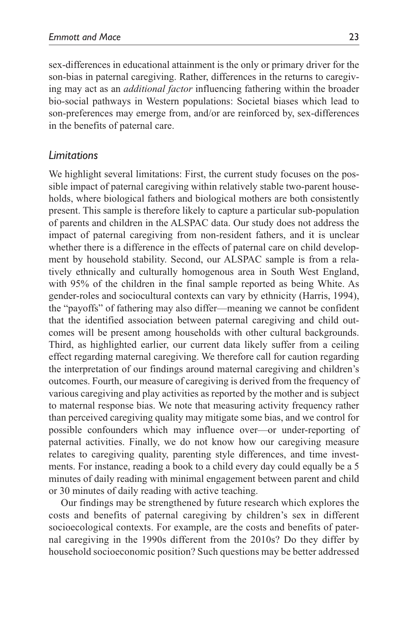sex-differences in educational attainment is the only or primary driver for the son-bias in paternal caregiving. Rather, differences in the returns to caregiving may act as an *additional factor* influencing fathering within the broader bio-social pathways in Western populations: Societal biases which lead to son-preferences may emerge from, and/or are reinforced by, sex-differences in the benefits of paternal care.

### *Limitations*

We highlight several limitations: First, the current study focuses on the possible impact of paternal caregiving within relatively stable two-parent households, where biological fathers and biological mothers are both consistently present. This sample is therefore likely to capture a particular sub-population of parents and children in the ALSPAC data. Our study does not address the impact of paternal caregiving from non-resident fathers, and it is unclear whether there is a difference in the effects of paternal care on child development by household stability. Second, our ALSPAC sample is from a relatively ethnically and culturally homogenous area in South West England, with 95% of the children in the final sample reported as being White. As gender-roles and sociocultural contexts can vary by ethnicity (Harris, 1994), the "payoffs" of fathering may also differ—meaning we cannot be confident that the identified association between paternal caregiving and child outcomes will be present among households with other cultural backgrounds. Third, as highlighted earlier, our current data likely suffer from a ceiling effect regarding maternal caregiving. We therefore call for caution regarding the interpretation of our findings around maternal caregiving and children's outcomes. Fourth, our measure of caregiving is derived from the frequency of various caregiving and play activities as reported by the mother and is subject to maternal response bias. We note that measuring activity frequency rather than perceived caregiving quality may mitigate some bias, and we control for possible confounders which may influence over—or under-reporting of paternal activities. Finally, we do not know how our caregiving measure relates to caregiving quality, parenting style differences, and time investments. For instance, reading a book to a child every day could equally be a 5 minutes of daily reading with minimal engagement between parent and child or 30 minutes of daily reading with active teaching.

Our findings may be strengthened by future research which explores the costs and benefits of paternal caregiving by children's sex in different socioecological contexts. For example, are the costs and benefits of paternal caregiving in the 1990s different from the 2010s? Do they differ by household socioeconomic position? Such questions may be better addressed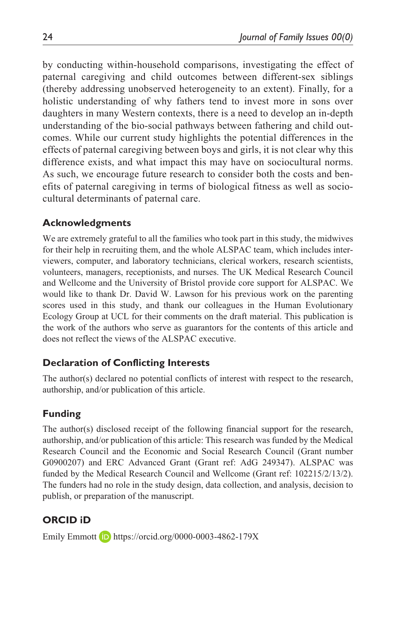by conducting within-household comparisons, investigating the effect of paternal caregiving and child outcomes between different-sex siblings (thereby addressing unobserved heterogeneity to an extent). Finally, for a holistic understanding of why fathers tend to invest more in sons over daughters in many Western contexts, there is a need to develop an in-depth understanding of the bio-social pathways between fathering and child outcomes. While our current study highlights the potential differences in the effects of paternal caregiving between boys and girls, it is not clear why this difference exists, and what impact this may have on sociocultural norms. As such, we encourage future research to consider both the costs and benefits of paternal caregiving in terms of biological fitness as well as sociocultural determinants of paternal care.

#### **Acknowledgments**

We are extremely grateful to all the families who took part in this study, the midwives for their help in recruiting them, and the whole ALSPAC team, which includes interviewers, computer, and laboratory technicians, clerical workers, research scientists, volunteers, managers, receptionists, and nurses. The UK Medical Research Council and Wellcome and the University of Bristol provide core support for ALSPAC. We would like to thank Dr. David W. Lawson for his previous work on the parenting scores used in this study, and thank our colleagues in the Human Evolutionary Ecology Group at UCL for their comments on the draft material. This publication is the work of the authors who serve as guarantors for the contents of this article and does not reflect the views of the ALSPAC executive.

#### **Declaration of Conflicting Interests**

The author(s) declared no potential conflicts of interest with respect to the research, authorship, and/or publication of this article.

## **Funding**

The author(s) disclosed receipt of the following financial support for the research, authorship, and/or publication of this article: This research was funded by the Medical Research Council and the Economic and Social Research Council (Grant number G0900207) and ERC Advanced Grant (Grant ref: AdG 249347). ALSPAC was funded by the Medical Research Council and Wellcome (Grant ref: 102215/2/13/2). The funders had no role in the study design, data collection, and analysis, decision to publish, or preparation of the manuscript.

# **ORCID iD**

Emily Emmott **D** <https://orcid.org/0000-0003-4862-179X>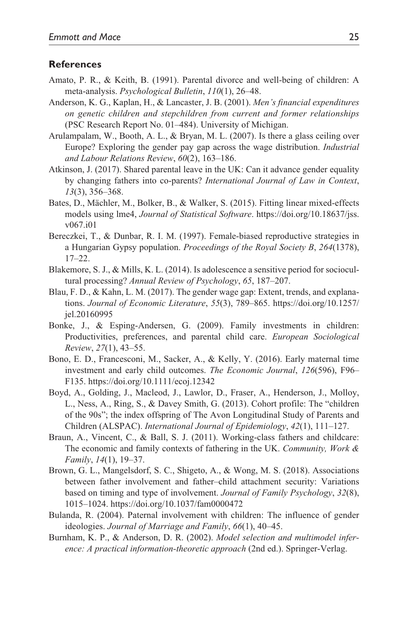#### **References**

- Amato, P. R., & Keith, B. (1991). Parental divorce and well-being of children: A meta-analysis. *Psychological Bulletin*, *110*(1), 26–48.
- Anderson, K. G., Kaplan, H., & Lancaster, J. B. (2001). *Men's financial expenditures on genetic children and stepchildren from current and former relationships* (PSC Research Report No. 01–484). University of Michigan.
- Arulampalam, W., Booth, A. L., & Bryan, M. L. (2007). Is there a glass ceiling over Europe? Exploring the gender pay gap across the wage distribution. *Industrial and Labour Relations Review*, *60*(2), 163–186.
- Atkinson, J. (2017). Shared parental leave in the UK: Can it advance gender equality by changing fathers into co-parents? *International Journal of Law in Context*, *13*(3), 356–368.
- Bates, D., Mächler, M., Bolker, B., & Walker, S. (2015). Fitting linear mixed-effects models using lme4, *Journal of Statistical Software*. [https://doi.org/10.18637/jss.](https://doi.org/10.18637/jss.v067.i01) [v067.i01](https://doi.org/10.18637/jss.v067.i01)
- Bereczkei, T., & Dunbar, R. I. M. (1997). Female-biased reproductive strategies in a Hungarian Gypsy population. *Proceedings of the Royal Society B*, *264*(1378), 17–22.
- Blakemore, S. J., & Mills, K. L. (2014). Is adolescence a sensitive period for sociocultural processing? *Annual Review of Psychology*, *65*, 187–207.
- Blau, F. D., & Kahn, L. M. (2017). The gender wage gap: Extent, trends, and explanations. *Journal of Economic Literature*, *55*(3), 789–865. [https://doi.org/10.1257/](https://doi.org/10.1257/jel.20160995) [jel.20160995](https://doi.org/10.1257/jel.20160995)
- Bonke, J., & Esping-Andersen, G. (2009). Family investments in children: Productivities, preferences, and parental child care. *European Sociological Review*, *27*(1), 43–55.
- Bono, E. D., Francesconi, M., Sacker, A., & Kelly, Y. (2016). Early maternal time investment and early child outcomes. *The Economic Journal*, *126*(596), F96– F135. <https://doi.org/10.1111/ecoj.12342>
- Boyd, A., Golding, J., Macleod, J., Lawlor, D., Fraser, A., Henderson, J., Molloy, L., Ness, A., Ring, S., & Davey Smith, G. (2013). Cohort profile: The "children of the 90s"; the index offspring of The Avon Longitudinal Study of Parents and Children (ALSPAC). *International Journal of Epidemiology*, *42*(1), 111–127.
- Braun, A., Vincent, C., & Ball, S. J. (2011). Working-class fathers and childcare: The economic and family contexts of fathering in the UK. *Community, Work & Family*, *14*(1), 19–37.
- Brown, G. L., Mangelsdorf, S. C., Shigeto, A., & Wong, M. S. (2018). Associations between father involvement and father–child attachment security: Variations based on timing and type of involvement. *Journal of Family Psychology*, *32*(8), 1015–1024. <https://doi.org/10.1037/fam0000472>
- Bulanda, R. (2004). Paternal involvement with children: The influence of gender ideologies. *Journal of Marriage and Family*, *66*(1), 40–45.
- Burnham, K. P., & Anderson, D. R. (2002). *Model selection and multimodel inference: A practical information-theoretic approach* (2nd ed.). Springer-Verlag.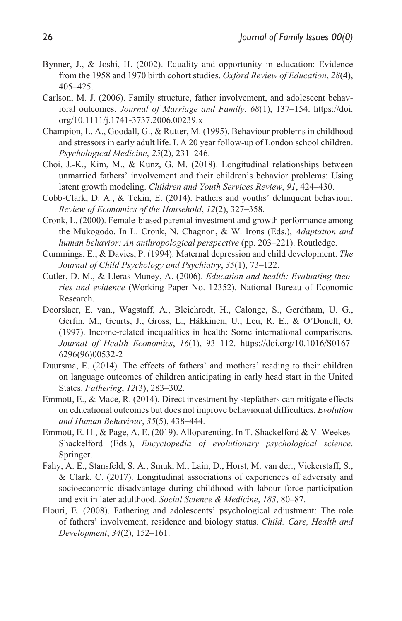- Bynner, J., & Joshi, H. (2002). Equality and opportunity in education: Evidence from the 1958 and 1970 birth cohort studies. *Oxford Review of Education*, *28*(4), 405–425.
- Carlson, M. J. (2006). Family structure, father involvement, and adolescent behavioral outcomes. *Journal of Marriage and Family*, *68*(1), 137–154. [https://doi.](https://doi.org/10.1111/j.1741-3737.2006.00239.x) [org/10.1111/j.1741-3737.2006.00239.x](https://doi.org/10.1111/j.1741-3737.2006.00239.x)
- Champion, L. A., Goodall, G., & Rutter, M. (1995). Behaviour problems in childhood and stressors in early adult life. I. A 20 year follow-up of London school children. *Psychological Medicine*, *25*(2), 231–246.
- Choi, J.-K., Kim, M., & Kunz, G. M. (2018). Longitudinal relationships between unmarried fathers' involvement and their children's behavior problems: Using latent growth modeling. *Children and Youth Services Review*, *91*, 424–430.
- Cobb-Clark, D. A., & Tekin, E. (2014). Fathers and youths' delinquent behaviour. *Review of Economics of the Household*, *12*(2), 327–358.
- Cronk, L. (2000). Female-biased parental investment and growth performance among the Mukogodo. In L. Cronk, N. Chagnon, & W. Irons (Eds.), *Adaptation and human behavior: An anthropological perspective* (pp. 203–221). Routledge.
- Cummings, E., & Davies, P. (1994). Maternal depression and child development. *The Journal of Child Psychology and Psychiatry*, *35*(1), 73–122.
- Cutler, D. M., & Lleras-Muney, A. (2006). *Education and health: Evaluating theories and evidence* (Working Paper No. 12352). National Bureau of Economic Research.
- Doorslaer, E. van., Wagstaff, A., Bleichrodt, H., Calonge, S., Gerdtham, U. G., Gerfin, M., Geurts, J., Gross, L., Häkkinen, U., Leu, R. E., & O'Donell, O. (1997). Income-related inequalities in health: Some international comparisons. *Journal of Health Economics*, *16*(1), 93–112. [https://doi.org/10.1016/S0167-](https://doi.org/10.1016/S0167-6296(96)00532-2) [6296\(96\)00532-2](https://doi.org/10.1016/S0167-6296(96)00532-2)
- Duursma, E. (2014). The effects of fathers' and mothers' reading to their children on language outcomes of children anticipating in early head start in the United States. *Fathering*, *12*(3), 283–302.
- Emmott, E., & Mace, R. (2014). Direct investment by stepfathers can mitigate effects on educational outcomes but does not improve behavioural difficulties. *Evolution and Human Behaviour*, *35*(5), 438–444.
- Emmott, E. H., & Page, A. E. (2019). Alloparenting. In T. Shackelford & V. Weekes-Shackelford (Eds.), *Encyclopedia of evolutionary psychological science*. Springer.
- Fahy, A. E., Stansfeld, S. A., Smuk, M., Lain, D., Horst, M. van der., Vickerstaff, S., & Clark, C. (2017). Longitudinal associations of experiences of adversity and socioeconomic disadvantage during childhood with labour force participation and exit in later adulthood. *Social Science & Medicine*, *183*, 80–87.
- Flouri, E. (2008). Fathering and adolescents' psychological adjustment: The role of fathers' involvement, residence and biology status. *Child: Care, Health and Development*, *34*(2), 152–161.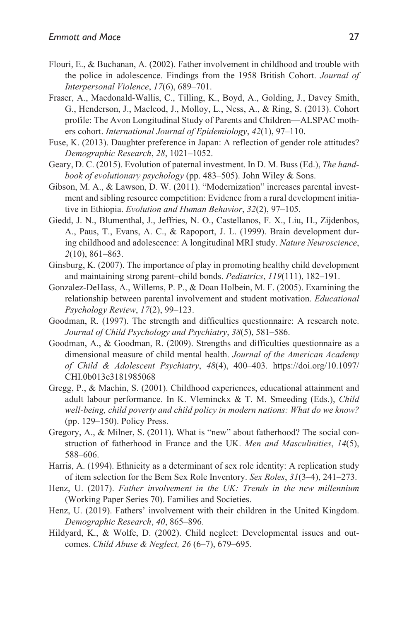- Flouri, E., & Buchanan, A. (2002). Father involvement in childhood and trouble with the police in adolescence. Findings from the 1958 British Cohort. *Journal of Interpersonal Violence*, *17*(6), 689–701.
- Fraser, A., Macdonald-Wallis, C., Tilling, K., Boyd, A., Golding, J., Davey Smith, G., Henderson, J., Macleod, J., Molloy, L., Ness, A., & Ring, S. (2013). Cohort profile: The Avon Longitudinal Study of Parents and Children—ALSPAC mothers cohort. *International Journal of Epidemiology*, *42*(1), 97–110.
- Fuse, K. (2013). Daughter preference in Japan: A reflection of gender role attitudes? *Demographic Research*, *28*, 1021–1052.
- Geary, D. C. (2015). Evolution of paternal investment. In D. M. Buss (Ed.), *The handbook of evolutionary psychology* (pp. 483–505). John Wiley & Sons.
- Gibson, M. A., & Lawson, D. W. (2011). "Modernization" increases parental investment and sibling resource competition: Evidence from a rural development initiative in Ethiopia. *Evolution and Human Behavior*, *32*(2), 97–105.
- Giedd, J. N., Blumenthal, J., Jeffries, N. O., Castellanos, F. X., Liu, H., Zijdenbos, A., Paus, T., Evans, A. C., & Rapoport, J. L. (1999). Brain development during childhood and adolescence: A longitudinal MRI study. *Nature Neuroscience*, *2*(10), 861–863.
- Ginsburg, K. (2007). The importance of play in promoting healthy child development and maintaining strong parent–child bonds. *Pediatrics*, *119*(111), 182–191.
- Gonzalez-DeHass, A., Willems, P. P., & Doan Holbein, M. F. (2005). Examining the relationship between parental involvement and student motivation. *Educational Psychology Review*, *17*(2), 99–123.
- Goodman, R. (1997). The strength and difficulties questionnaire: A research note. *Journal of Child Psychology and Psychiatry*, *38*(5), 581–586.
- Goodman, A., & Goodman, R. (2009). Strengths and difficulties questionnaire as a dimensional measure of child mental health. *Journal of the American Academy of Child & Adolescent Psychiatry*, *48*(4), 400–403. [https://doi.org/10.1097/](https://doi.org/10.1097/CHI.0b013e3181985068) [CHI.0b013e3181985068](https://doi.org/10.1097/CHI.0b013e3181985068)
- Gregg, P., & Machin, S. (2001). Childhood experiences, educational attainment and adult labour performance. In K. Vleminckx & T. M. Smeeding (Eds.), *Child well-being, child poverty and child policy in modern nations: What do we know?* (pp. 129–150). Policy Press.
- Gregory, A., & Milner, S. (2011). What is "new" about fatherhood? The social construction of fatherhood in France and the UK. *Men and Masculinities*, *14*(5), 588–606.
- Harris, A. (1994). Ethnicity as a determinant of sex role identity: A replication study of item selection for the Bem Sex Role Inventory. *Sex Roles*, *31*(3–4), 241–273.
- Henz, U. (2017). *Father involvement in the UK: Trends in the new millennium* (Working Paper Series 70). Families and Societies.
- Henz, U. (2019). Fathers' involvement with their children in the United Kingdom. *Demographic Research*, *40*, 865–896.
- Hildyard, K., & Wolfe, D. (2002). Child neglect: Developmental issues and outcomes. *Child Abuse & Neglect, 26* (6–7), 679–695.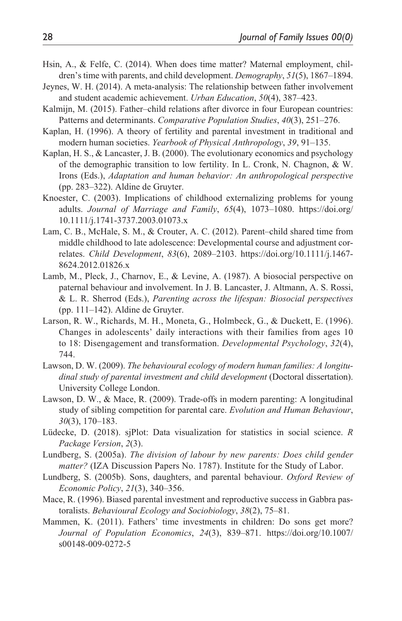- Hsin, A., & Felfe, C. (2014). When does time matter? Maternal employment, children's time with parents, and child development. *Demography*, *51*(5), 1867–1894.
- Jeynes, W. H. (2014). A meta-analysis: The relationship between father involvement and student academic achievement. *Urban Education*, *50*(4), 387–423.
- Kalmijn, M. (2015). Father–child relations after divorce in four European countries: Patterns and determinants. *Comparative Population Studies*, *40*(3), 251–276.
- Kaplan, H. (1996). A theory of fertility and parental investment in traditional and modern human societies. *Yearbook of Physical Anthropology*, *39*, 91–135.
- Kaplan, H. S., & Lancaster, J. B. (2000). The evolutionary economics and psychology of the demographic transition to low fertility. In L. Cronk, N. Chagnon, & W. Irons (Eds.), *Adaptation and human behavior: An anthropological perspective* (pp. 283–322). Aldine de Gruyter.
- Knoester, C. (2003). Implications of childhood externalizing problems for young adults. *Journal of Marriage and Family*, *65*(4), 1073–1080. [https://doi.org/](https://doi.org/10.1111/j.1741-3737.2003.01073.x) [10.1111/j.1741-3737.2003.01073.x](https://doi.org/10.1111/j.1741-3737.2003.01073.x)
- Lam, C. B., McHale, S. M., & Crouter, A. C. (2012). Parent–child shared time from middle childhood to late adolescence: Developmental course and adjustment correlates. *Child Development*, *83*(6), 2089–2103. [https://doi.org/10.1111/j.1467-](https://doi.org/10.1111/j.1467-8624.2012.01826.x) [8624.2012.01826.x](https://doi.org/10.1111/j.1467-8624.2012.01826.x)
- Lamb, M., Pleck, J., Charnov, E., & Levine, A. (1987). A biosocial perspective on paternal behaviour and involvement. In J. B. Lancaster, J. Altmann, A. S. Rossi, & L. R. Sherrod (Eds.), *Parenting across the lifespan: Biosocial perspectives* (pp. 111–142). Aldine de Gruyter.
- Larson, R. W., Richards, M. H., Moneta, G., Holmbeck, G., & Duckett, E. (1996). Changes in adolescents' daily interactions with their families from ages 10 to 18: Disengagement and transformation. *Developmental Psychology*, *32*(4), 744.
- Lawson, D. W. (2009). *The behavioural ecology of modern human families: A longitudinal study of parental investment and child development* (Doctoral dissertation). University College London.
- Lawson, D. W., & Mace, R. (2009). Trade-offs in modern parenting: A longitudinal study of sibling competition for parental care. *Evolution and Human Behaviour*, *30*(3), 170–183.
- Lüdecke, D. (2018). sjPlot: Data visualization for statistics in social science. *R Package Version*, *2*(3).
- Lundberg, S. (2005a). *The division of labour by new parents: Does child gender matter?* (IZA Discussion Papers No. 1787). Institute for the Study of Labor.
- Lundberg, S. (2005b). Sons, daughters, and parental behaviour. *Oxford Review of Economic Policy*, *21*(3), 340–356.
- Mace, R. (1996). Biased parental investment and reproductive success in Gabbra pastoralists. *Behavioural Ecology and Sociobiology*, *38*(2), 75–81.
- Mammen, K. (2011). Fathers' time investments in children: Do sons get more? *Journal of Population Economics*, *24*(3), 839–871. [https://doi.org/10.1007/](https://doi.org/10.1007/s00148-009-0272-5) [s00148-009-0272-5](https://doi.org/10.1007/s00148-009-0272-5)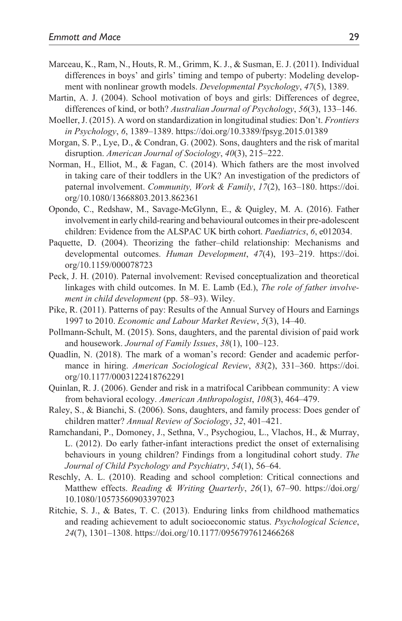- Marceau, K., Ram, N., Houts, R. M., Grimm, K. J., & Susman, E. J. (2011). Individual differences in boys' and girls' timing and tempo of puberty: Modeling development with nonlinear growth models. *Developmental Psychology*, *47*(5), 1389.
- Martin, A. J. (2004). School motivation of boys and girls: Differences of degree, differences of kind, or both? *Australian Journal of Psychology*, *56*(3), 133–146.
- Moeller, J. (2015). A word on standardization in longitudinal studies: Don't. *Frontiers in Psychology*, *6*, 1389–1389.<https://doi.org/10.3389/fpsyg.2015.01389>
- Morgan, S. P., Lye, D., & Condran, G. (2002). Sons, daughters and the risk of marital disruption. *American Journal of Sociology*, *40*(3), 215–222.
- Norman, H., Elliot, M., & Fagan, C. (2014). Which fathers are the most involved in taking care of their toddlers in the UK? An investigation of the predictors of paternal involvement. *Community, Work & Family*, *17*(2), 163–180. [https://doi.](https://doi.org/10.1080/13668803.2013.862361) [org/10.1080/13668803.2013.862361](https://doi.org/10.1080/13668803.2013.862361)
- Opondo, C., Redshaw, M., Savage-McGlynn, E., & Quigley, M. A. (2016). Father involvement in early child-rearing and behavioural outcomes in their pre-adolescent children: Evidence from the ALSPAC UK birth cohort. *Paediatrics*, *6*, e012034.
- Paquette, D. (2004). Theorizing the father–child relationship: Mechanisms and developmental outcomes. *Human Development*, *47*(4), 193–219. [https://doi.](https://doi.org/10.1159/000078723) [org/10.1159/000078723](https://doi.org/10.1159/000078723)
- Peck, J. H. (2010). Paternal involvement: Revised conceptualization and theoretical linkages with child outcomes. In M. E. Lamb (Ed.), *The role of father involvement in child development* (pp. 58–93). Wiley.
- Pike, R. (2011). Patterns of pay: Results of the Annual Survey of Hours and Earnings 1997 to 2010. *Economic and Labour Market Review*, *5*(3), 14–40.
- Pollmann-Schult, M. (2015). Sons, daughters, and the parental division of paid work and housework. *Journal of Family Issues*, *38*(1), 100–123.
- Quadlin, N. (2018). The mark of a woman's record: Gender and academic performance in hiring. *American Sociological Review*, *83*(2), 331–360. [https://doi.](https://doi.org/10.1177/0003122418762291) [org/10.1177/0003122418762291](https://doi.org/10.1177/0003122418762291)
- Quinlan, R. J. (2006). Gender and risk in a matrifocal Caribbean community: A view from behavioral ecology. *American Anthropologist*, *108*(3), 464–479.
- Raley, S., & Bianchi, S. (2006). Sons, daughters, and family process: Does gender of children matter? *Annual Review of Sociology*, *32*, 401–421.
- Ramchandani, P., Domoney, J., Sethna, V., Psychogiou, L., Vlachos, H., & Murray, L. (2012). Do early father-infant interactions predict the onset of externalising behaviours in young children? Findings from a longitudinal cohort study. *The Journal of Child Psychology and Psychiatry*, *54*(1), 56–64.
- Reschly, A. L. (2010). Reading and school completion: Critical connections and Matthew effects. *Reading & Writing Quarterly*, *26*(1), 67–90. [https://doi.org/](https://doi.org/10.1080/10573560903397023) [10.1080/10573560903397023](https://doi.org/10.1080/10573560903397023)
- Ritchie, S. J., & Bates, T. C. (2013). Enduring links from childhood mathematics and reading achievement to adult socioeconomic status. *Psychological Science*, *24*(7), 1301–1308.<https://doi.org/10.1177/0956797612466268>